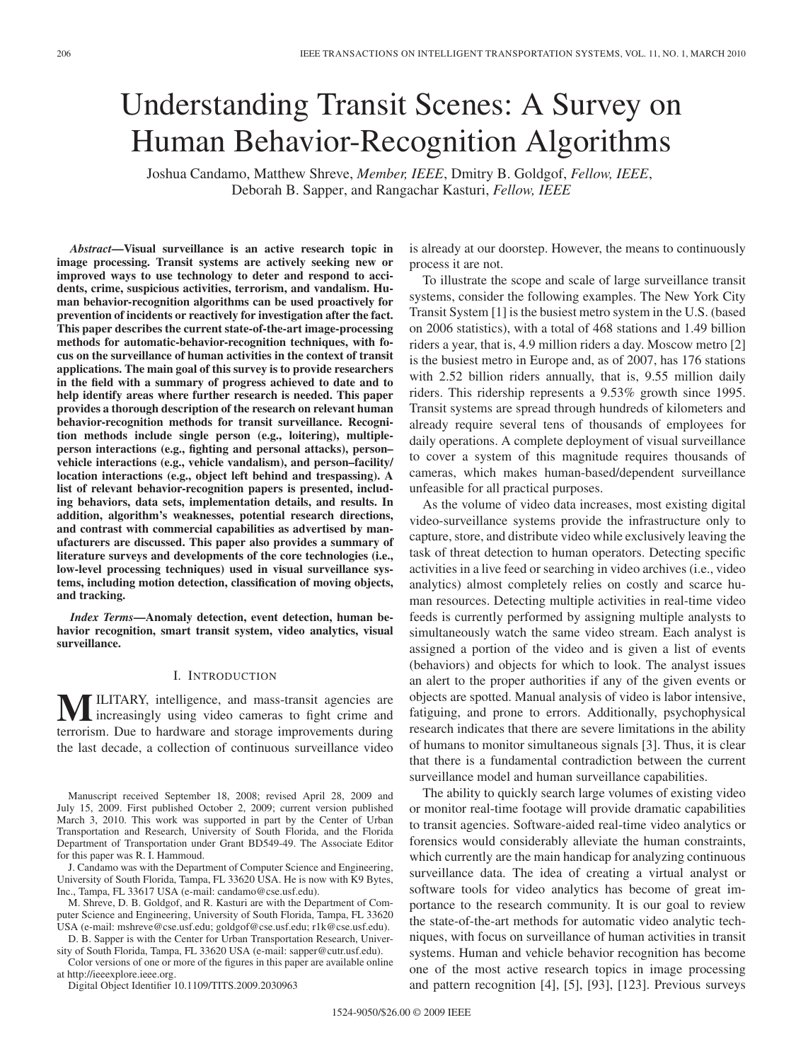# Understanding Transit Scenes: A Survey on Human Behavior-Recognition Algorithms

Joshua Candamo, Matthew Shreve, *Member, IEEE*, Dmitry B. Goldgof, *Fellow, IEEE*, Deborah B. Sapper, and Rangachar Kasturi, *Fellow, IEEE*

*Abstract***—Visual surveillance is an active research topic in image processing. Transit systems are actively seeking new or improved ways to use technology to deter and respond to accidents, crime, suspicious activities, terrorism, and vandalism. Human behavior-recognition algorithms can be used proactively for prevention of incidents or reactively for investigation after the fact. This paper describes the current state-of-the-art image-processing methods for automatic-behavior-recognition techniques, with focus on the surveillance of human activities in the context of transit applications. The main goal of this survey is to provide researchers in the field with a summary of progress achieved to date and to help identify areas where further research is needed. This paper provides a thorough description of the research on relevant human behavior-recognition methods for transit surveillance. Recognition methods include single person (e.g., loitering), multipleperson interactions (e.g., fighting and personal attacks), person– vehicle interactions (e.g., vehicle vandalism), and person–facility/ location interactions (e.g., object left behind and trespassing). A list of relevant behavior-recognition papers is presented, including behaviors, data sets, implementation details, and results. In addition, algorithm's weaknesses, potential research directions, and contrast with commercial capabilities as advertised by manufacturers are discussed. This paper also provides a summary of literature surveys and developments of the core technologies (i.e., low-level processing techniques) used in visual surveillance systems, including motion detection, classification of moving objects, and tracking.**

*Index Terms***—Anomaly detection, event detection, human behavior recognition, smart transit system, video analytics, visual surveillance.**

# I. INTRODUCTION

**M**ILITARY, intelligence, and mass-transit agencies are increasingly using video cameras to fight crime and terrorism. Due to hardware and storage improvements during the last decade, a collection of continuous surveillance video

Manuscript received September 18, 2008; revised April 28, 2009 and July 15, 2009. First published October 2, 2009; current version published March 3, 2010. This work was supported in part by the Center of Urban Transportation and Research, University of South Florida, and the Florida Department of Transportation under Grant BD549-49. The Associate Editor for this paper was R. I. Hammoud.

J. Candamo was with the Department of Computer Science and Engineering, University of South Florida, Tampa, FL 33620 USA. He is now with K9 Bytes, Inc., Tampa, FL 33617 USA (e-mail: candamo@cse.usf.edu).

M. Shreve, D. B. Goldgof, and R. Kasturi are with the Department of Computer Science and Engineering, University of South Florida, Tampa, FL 33620 USA (e-mail: mshreve@cse.usf.edu; goldgof@cse.usf.edu; r1k@cse.usf.edu).

D. B. Sapper is with the Center for Urban Transportation Research, University of South Florida, Tampa, FL 33620 USA (e-mail: sapper@cutr.usf.edu).

Color versions of one or more of the figures in this paper are available online at http://ieeexplore.ieee.org.

Digital Object Identifier 10.1109/TITS.2009.2030963

is already at our doorstep. However, the means to continuously process it are not.

To illustrate the scope and scale of large surveillance transit systems, consider the following examples. The New York City Transit System [1] is the busiest metro system in the U.S. (based on 2006 statistics), with a total of 468 stations and 1.49 billion riders a year, that is, 4.9 million riders a day. Moscow metro [2] is the busiest metro in Europe and, as of 2007, has 176 stations with 2.52 billion riders annually, that is, 9.55 million daily riders. This ridership represents a 9.53% growth since 1995. Transit systems are spread through hundreds of kilometers and already require several tens of thousands of employees for daily operations. A complete deployment of visual surveillance to cover a system of this magnitude requires thousands of cameras, which makes human-based/dependent surveillance unfeasible for all practical purposes.

As the volume of video data increases, most existing digital video-surveillance systems provide the infrastructure only to capture, store, and distribute video while exclusively leaving the task of threat detection to human operators. Detecting specific activities in a live feed or searching in video archives (i.e., video analytics) almost completely relies on costly and scarce human resources. Detecting multiple activities in real-time video feeds is currently performed by assigning multiple analysts to simultaneously watch the same video stream. Each analyst is assigned a portion of the video and is given a list of events (behaviors) and objects for which to look. The analyst issues an alert to the proper authorities if any of the given events or objects are spotted. Manual analysis of video is labor intensive, fatiguing, and prone to errors. Additionally, psychophysical research indicates that there are severe limitations in the ability of humans to monitor simultaneous signals [3]. Thus, it is clear that there is a fundamental contradiction between the current surveillance model and human surveillance capabilities.

The ability to quickly search large volumes of existing video or monitor real-time footage will provide dramatic capabilities to transit agencies. Software-aided real-time video analytics or forensics would considerably alleviate the human constraints, which currently are the main handicap for analyzing continuous surveillance data. The idea of creating a virtual analyst or software tools for video analytics has become of great importance to the research community. It is our goal to review the state-of-the-art methods for automatic video analytic techniques, with focus on surveillance of human activities in transit systems. Human and vehicle behavior recognition has become one of the most active research topics in image processing and pattern recognition [4], [5], [93], [123]. Previous surveys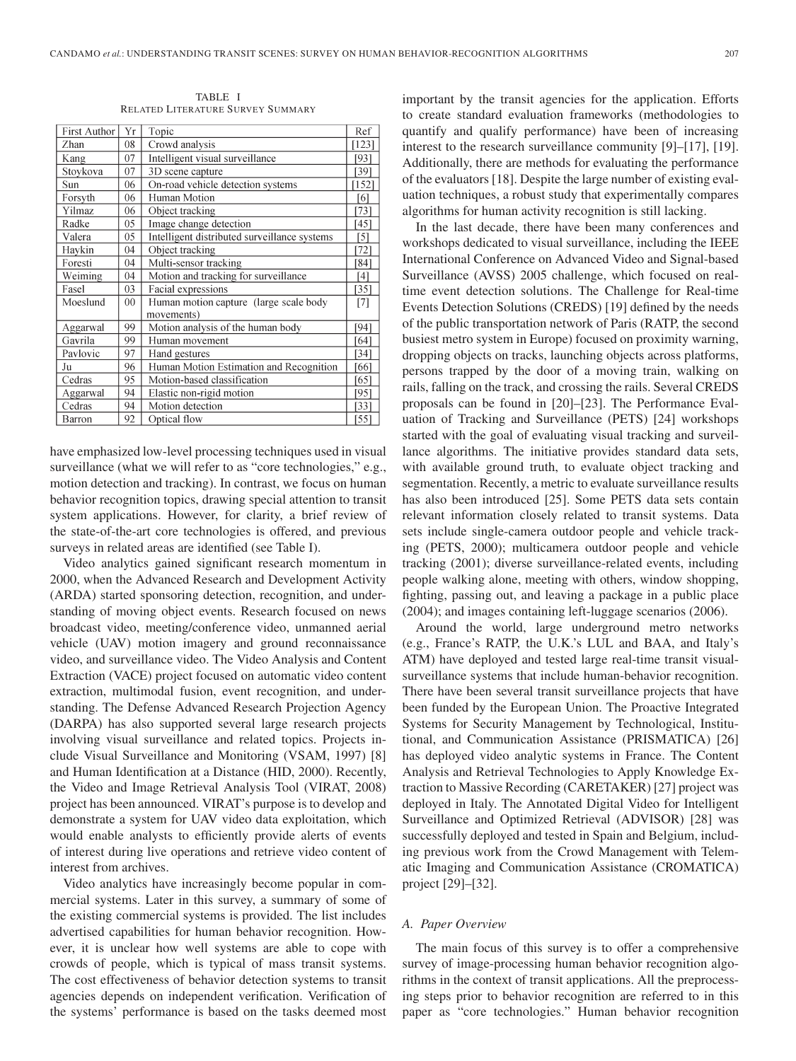TABLE I RELATED LITERATURE SURVEY SUMMARY

| First Author | Yr | Topic                                        | Ref                |
|--------------|----|----------------------------------------------|--------------------|
| Zhan         | 08 | Crowd analysis                               | [123]              |
| Kang         | 07 | Intelligent visual surveillance              | [93]               |
| Stoykova     | 07 | 3D scene capture                             | [39]               |
| Sun          | 06 | On-road vehicle detection systems            | $[152]$            |
| Forsyth      | 06 | Human Motion                                 | [6]                |
| Yilmaz       | 06 | Object tracking                              | 731                |
| Radke        | 05 | Image change detection                       | '451               |
| Valera       | 05 | Intelligent distributed surveillance systems | [5]                |
| Haykin       | 04 | Object tracking                              | $\lceil 72 \rceil$ |
| Foresti      | 04 | Multi-sensor tracking                        | [84]               |
| Weiming      | 04 | Motion and tracking for surveillance         | [4]                |
| Fasel        | 03 | Facial expressions                           | [35]               |
| Moeslund     | 00 | Human motion capture (large scale body       | [7]                |
|              |    | movements)                                   |                    |
| Aggarwal     | 99 | Motion analysis of the human body            | [94]               |
| Gavrila      | 99 | Human movement                               | [64]               |
| Pavlovic     | 97 | Hand gestures                                | [34]               |
| Ju           | 96 | Human Motion Estimation and Recognition      | [66]               |
| Cedras       | 95 | Motion-based classification                  | [65]               |
| Aggarwal     | 94 | Elastic non-rigid motion                     | [95]               |
| Cedras       | 94 | Motion detection                             | [33]               |
| Barron       | 92 | Optical flow                                 | [55]               |

have emphasized low-level processing techniques used in visual surveillance (what we will refer to as "core technologies," e.g., motion detection and tracking). In contrast, we focus on human behavior recognition topics, drawing special attention to transit system applications. However, for clarity, a brief review of the state-of-the-art core technologies is offered, and previous surveys in related areas are identified (see Table I).

Video analytics gained significant research momentum in 2000, when the Advanced Research and Development Activity (ARDA) started sponsoring detection, recognition, and understanding of moving object events. Research focused on news broadcast video, meeting/conference video, unmanned aerial vehicle (UAV) motion imagery and ground reconnaissance video, and surveillance video. The Video Analysis and Content Extraction (VACE) project focused on automatic video content extraction, multimodal fusion, event recognition, and understanding. The Defense Advanced Research Projection Agency (DARPA) has also supported several large research projects involving visual surveillance and related topics. Projects include Visual Surveillance and Monitoring (VSAM, 1997) [8] and Human Identification at a Distance (HID, 2000). Recently, the Video and Image Retrieval Analysis Tool (VIRAT, 2008) project has been announced. VIRAT's purpose is to develop and demonstrate a system for UAV video data exploitation, which would enable analysts to efficiently provide alerts of events of interest during live operations and retrieve video content of interest from archives.

Video analytics have increasingly become popular in commercial systems. Later in this survey, a summary of some of the existing commercial systems is provided. The list includes advertised capabilities for human behavior recognition. However, it is unclear how well systems are able to cope with crowds of people, which is typical of mass transit systems. The cost effectiveness of behavior detection systems to transit agencies depends on independent verification. Verification of the systems' performance is based on the tasks deemed most important by the transit agencies for the application. Efforts to create standard evaluation frameworks (methodologies to quantify and qualify performance) have been of increasing interest to the research surveillance community [9]–[17], [19]. Additionally, there are methods for evaluating the performance of the evaluators [18]. Despite the large number of existing evaluation techniques, a robust study that experimentally compares algorithms for human activity recognition is still lacking.

In the last decade, there have been many conferences and workshops dedicated to visual surveillance, including the IEEE International Conference on Advanced Video and Signal-based Surveillance (AVSS) 2005 challenge, which focused on realtime event detection solutions. The Challenge for Real-time Events Detection Solutions (CREDS) [19] defined by the needs of the public transportation network of Paris (RATP, the second busiest metro system in Europe) focused on proximity warning, dropping objects on tracks, launching objects across platforms, persons trapped by the door of a moving train, walking on rails, falling on the track, and crossing the rails. Several CREDS proposals can be found in [20]–[23]. The Performance Evaluation of Tracking and Surveillance (PETS) [24] workshops started with the goal of evaluating visual tracking and surveillance algorithms. The initiative provides standard data sets, with available ground truth, to evaluate object tracking and segmentation. Recently, a metric to evaluate surveillance results has also been introduced [25]. Some PETS data sets contain relevant information closely related to transit systems. Data sets include single-camera outdoor people and vehicle tracking (PETS, 2000); multicamera outdoor people and vehicle tracking (2001); diverse surveillance-related events, including people walking alone, meeting with others, window shopping, fighting, passing out, and leaving a package in a public place (2004); and images containing left-luggage scenarios (2006).

Around the world, large underground metro networks (e.g., France's RATP, the U.K.'s LUL and BAA, and Italy's ATM) have deployed and tested large real-time transit visualsurveillance systems that include human-behavior recognition. There have been several transit surveillance projects that have been funded by the European Union. The Proactive Integrated Systems for Security Management by Technological, Institutional, and Communication Assistance (PRISMATICA) [26] has deployed video analytic systems in France. The Content Analysis and Retrieval Technologies to Apply Knowledge Extraction to Massive Recording (CARETAKER) [27] project was deployed in Italy. The Annotated Digital Video for Intelligent Surveillance and Optimized Retrieval (ADVISOR) [28] was successfully deployed and tested in Spain and Belgium, including previous work from the Crowd Management with Telematic Imaging and Communication Assistance (CROMATICA) project [29]–[32].

#### *A. Paper Overview*

The main focus of this survey is to offer a comprehensive survey of image-processing human behavior recognition algorithms in the context of transit applications. All the preprocessing steps prior to behavior recognition are referred to in this paper as "core technologies." Human behavior recognition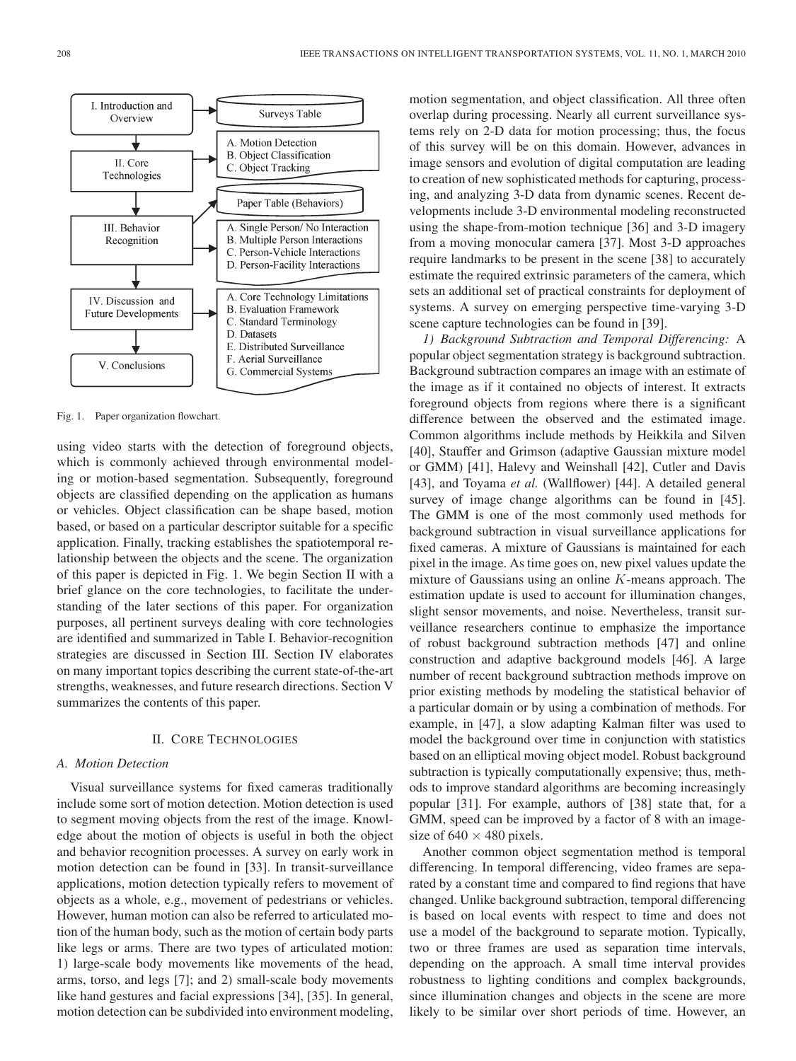

Fig. 1. Paper organization flowchart.

using video starts with the detection of foreground objects, which is commonly achieved through environmental modeling or motion-based segmentation. Subsequently, foreground objects are classified depending on the application as humans or vehicles. Object classification can be shape based, motion based, or based on a particular descriptor suitable for a specific application. Finally, tracking establishes the spatiotemporal relationship between the objects and the scene. The organization of this paper is depicted in Fig. 1. We begin Section II with a brief glance on the core technologies, to facilitate the understanding of the later sections of this paper. For organization purposes, all pertinent surveys dealing with core technologies are identified and summarized in Table I. Behavior-recognition strategies are discussed in Section III. Section IV elaborates on many important topics describing the current state-of-the-art strengths, weaknesses, and future research directions. Section V summarizes the contents of this paper.

# II. CORE TECHNOLOGIES

## *A. Motion Detection*

Visual surveillance systems for fixed cameras traditionally include some sort of motion detection. Motion detection is used to segment moving objects from the rest of the image. Knowledge about the motion of objects is useful in both the object and behavior recognition processes. A survey on early work in motion detection can be found in [33]. In transit-surveillance applications, motion detection typically refers to movement of objects as a whole, e.g., movement of pedestrians or vehicles. However, human motion can also be referred to articulated motion of the human body, such as the motion of certain body parts like legs or arms. There are two types of articulated motion: 1) large-scale body movements like movements of the head, arms, torso, and legs [7]; and 2) small-scale body movements like hand gestures and facial expressions [34], [35]. In general, motion detection can be subdivided into environment modeling,

motion segmentation, and object classification. All three often overlap during processing. Nearly all current surveillance systems rely on 2-D data for motion processing; thus, the focus of this survey will be on this domain. However, advances in image sensors and evolution of digital computation are leading to creation of new sophisticated methods for capturing, processing, and analyzing 3-D data from dynamic scenes. Recent developments include 3-D environmental modeling reconstructed using the shape-from-motion technique [36] and 3-D imagery from a moving monocular camera [37]. Most 3-D approaches require landmarks to be present in the scene [38] to accurately estimate the required extrinsic parameters of the camera, which sets an additional set of practical constraints for deployment of systems. A survey on emerging perspective time-varying 3-D scene capture technologies can be found in [39].

*1) Background Subtraction and Temporal Differencing:* A popular object segmentation strategy is background subtraction. Background subtraction compares an image with an estimate of the image as if it contained no objects of interest. It extracts foreground objects from regions where there is a significant difference between the observed and the estimated image. Common algorithms include methods by Heikkila and Silven [40], Stauffer and Grimson (adaptive Gaussian mixture model or GMM) [41], Halevy and Weinshall [42], Cutler and Davis [43], and Toyama *et al.* (Wallflower) [44]. A detailed general survey of image change algorithms can be found in [45]. The GMM is one of the most commonly used methods for background subtraction in visual surveillance applications for fixed cameras. A mixture of Gaussians is maintained for each pixel in the image. As time goes on, new pixel values update the mixture of Gaussians using an online K-means approach. The estimation update is used to account for illumination changes, slight sensor movements, and noise. Nevertheless, transit surveillance researchers continue to emphasize the importance of robust background subtraction methods [47] and online construction and adaptive background models [46]. A large number of recent background subtraction methods improve on prior existing methods by modeling the statistical behavior of a particular domain or by using a combination of methods. For example, in [47], a slow adapting Kalman filter was used to model the background over time in conjunction with statistics based on an elliptical moving object model. Robust background subtraction is typically computationally expensive; thus, methods to improve standard algorithms are becoming increasingly popular [31]. For example, authors of [38] state that, for a GMM, speed can be improved by a factor of 8 with an imagesize of  $640 \times 480$  pixels.

Another common object segmentation method is temporal differencing. In temporal differencing, video frames are separated by a constant time and compared to find regions that have changed. Unlike background subtraction, temporal differencing is based on local events with respect to time and does not use a model of the background to separate motion. Typically, two or three frames are used as separation time intervals, depending on the approach. A small time interval provides robustness to lighting conditions and complex backgrounds, since illumination changes and objects in the scene are more likely to be similar over short periods of time. However, an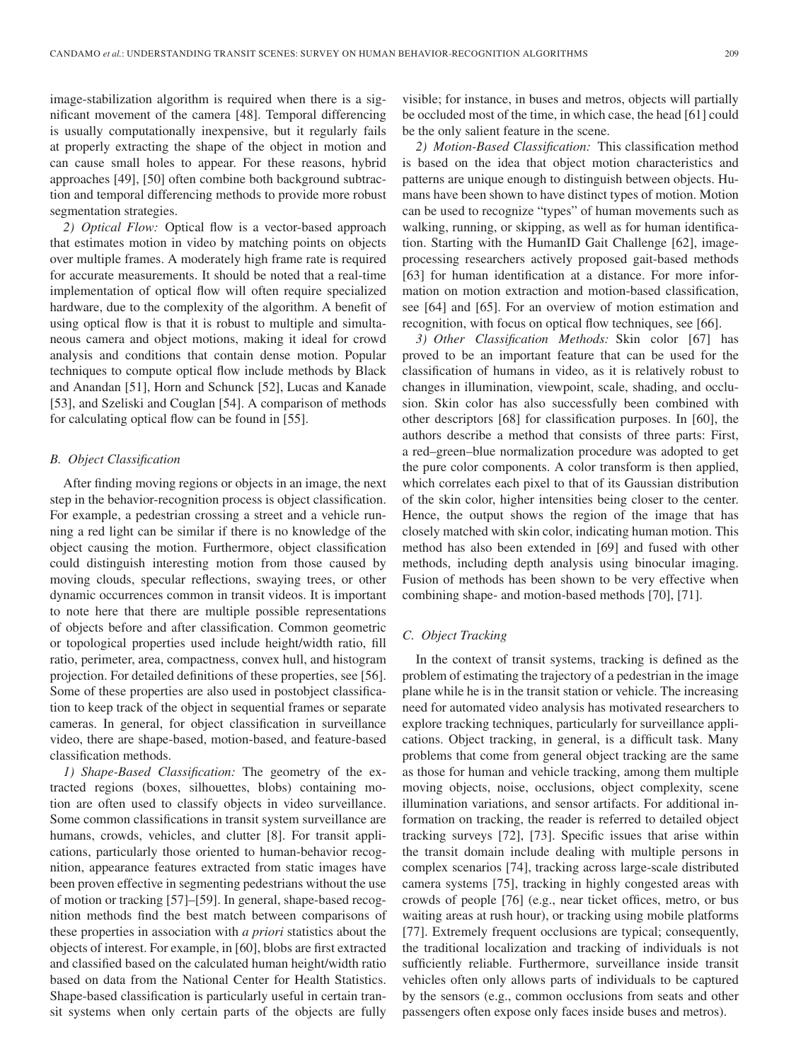image-stabilization algorithm is required when there is a significant movement of the camera [48]. Temporal differencing is usually computationally inexpensive, but it regularly fails at properly extracting the shape of the object in motion and can cause small holes to appear. For these reasons, hybrid approaches [49], [50] often combine both background subtraction and temporal differencing methods to provide more robust segmentation strategies.

*2) Optical Flow:* Optical flow is a vector-based approach that estimates motion in video by matching points on objects over multiple frames. A moderately high frame rate is required for accurate measurements. It should be noted that a real-time implementation of optical flow will often require specialized hardware, due to the complexity of the algorithm. A benefit of using optical flow is that it is robust to multiple and simultaneous camera and object motions, making it ideal for crowd analysis and conditions that contain dense motion. Popular techniques to compute optical flow include methods by Black and Anandan [51], Horn and Schunck [52], Lucas and Kanade [53], and Szeliski and Couglan [54]. A comparison of methods for calculating optical flow can be found in [55].

#### *B. Object Classification*

After finding moving regions or objects in an image, the next step in the behavior-recognition process is object classification. For example, a pedestrian crossing a street and a vehicle running a red light can be similar if there is no knowledge of the object causing the motion. Furthermore, object classification could distinguish interesting motion from those caused by moving clouds, specular reflections, swaying trees, or other dynamic occurrences common in transit videos. It is important to note here that there are multiple possible representations of objects before and after classification. Common geometric or topological properties used include height/width ratio, fill ratio, perimeter, area, compactness, convex hull, and histogram projection. For detailed definitions of these properties, see [56]. Some of these properties are also used in postobject classification to keep track of the object in sequential frames or separate cameras. In general, for object classification in surveillance video, there are shape-based, motion-based, and feature-based classification methods.

*1) Shape-Based Classification:* The geometry of the extracted regions (boxes, silhouettes, blobs) containing motion are often used to classify objects in video surveillance. Some common classifications in transit system surveillance are humans, crowds, vehicles, and clutter [8]. For transit applications, particularly those oriented to human-behavior recognition, appearance features extracted from static images have been proven effective in segmenting pedestrians without the use of motion or tracking [57]–[59]. In general, shape-based recognition methods find the best match between comparisons of these properties in association with *a priori* statistics about the objects of interest. For example, in [60], blobs are first extracted and classified based on the calculated human height/width ratio based on data from the National Center for Health Statistics. Shape-based classification is particularly useful in certain transit systems when only certain parts of the objects are fully

visible; for instance, in buses and metros, objects will partially be occluded most of the time, in which case, the head [61] could be the only salient feature in the scene.

*2) Motion-Based Classification:* This classification method is based on the idea that object motion characteristics and patterns are unique enough to distinguish between objects. Humans have been shown to have distinct types of motion. Motion can be used to recognize "types" of human movements such as walking, running, or skipping, as well as for human identification. Starting with the HumanID Gait Challenge [62], imageprocessing researchers actively proposed gait-based methods [63] for human identification at a distance. For more information on motion extraction and motion-based classification, see [64] and [65]. For an overview of motion estimation and recognition, with focus on optical flow techniques, see [66].

*3) Other Classification Methods:* Skin color [67] has proved to be an important feature that can be used for the classification of humans in video, as it is relatively robust to changes in illumination, viewpoint, scale, shading, and occlusion. Skin color has also successfully been combined with other descriptors [68] for classification purposes. In [60], the authors describe a method that consists of three parts: First, a red–green–blue normalization procedure was adopted to get the pure color components. A color transform is then applied, which correlates each pixel to that of its Gaussian distribution of the skin color, higher intensities being closer to the center. Hence, the output shows the region of the image that has closely matched with skin color, indicating human motion. This method has also been extended in [69] and fused with other methods, including depth analysis using binocular imaging. Fusion of methods has been shown to be very effective when combining shape- and motion-based methods [70], [71].

## *C. Object Tracking*

In the context of transit systems, tracking is defined as the problem of estimating the trajectory of a pedestrian in the image plane while he is in the transit station or vehicle. The increasing need for automated video analysis has motivated researchers to explore tracking techniques, particularly for surveillance applications. Object tracking, in general, is a difficult task. Many problems that come from general object tracking are the same as those for human and vehicle tracking, among them multiple moving objects, noise, occlusions, object complexity, scene illumination variations, and sensor artifacts. For additional information on tracking, the reader is referred to detailed object tracking surveys [72], [73]. Specific issues that arise within the transit domain include dealing with multiple persons in complex scenarios [74], tracking across large-scale distributed camera systems [75], tracking in highly congested areas with crowds of people [76] (e.g., near ticket offices, metro, or bus waiting areas at rush hour), or tracking using mobile platforms [77]. Extremely frequent occlusions are typical; consequently, the traditional localization and tracking of individuals is not sufficiently reliable. Furthermore, surveillance inside transit vehicles often only allows parts of individuals to be captured by the sensors (e.g., common occlusions from seats and other passengers often expose only faces inside buses and metros).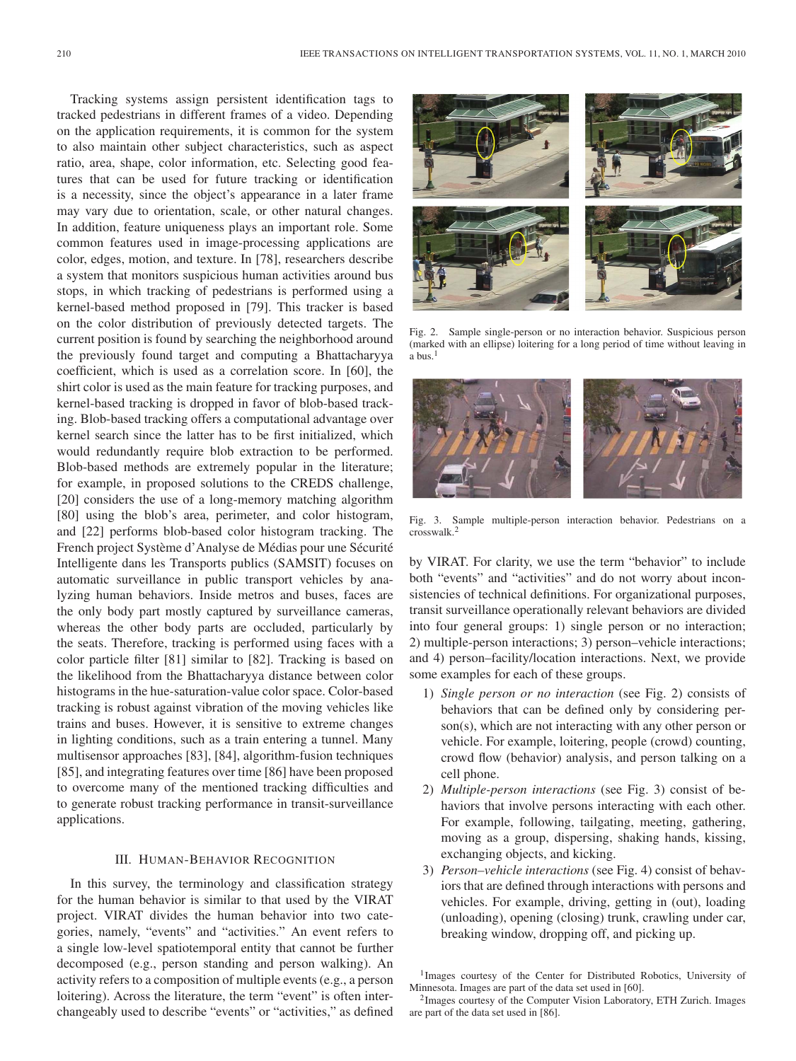Tracking systems assign persistent identification tags to tracked pedestrians in different frames of a video. Depending on the application requirements, it is common for the system to also maintain other subject characteristics, such as aspect ratio, area, shape, color information, etc. Selecting good features that can be used for future tracking or identification is a necessity, since the object's appearance in a later frame may vary due to orientation, scale, or other natural changes. In addition, feature uniqueness plays an important role. Some common features used in image-processing applications are color, edges, motion, and texture. In [78], researchers describe a system that monitors suspicious human activities around bus stops, in which tracking of pedestrians is performed using a kernel-based method proposed in [79]. This tracker is based on the color distribution of previously detected targets. The current position is found by searching the neighborhood around the previously found target and computing a Bhattacharyya coefficient, which is used as a correlation score. In [60], the shirt color is used as the main feature for tracking purposes, and kernel-based tracking is dropped in favor of blob-based tracking. Blob-based tracking offers a computational advantage over kernel search since the latter has to be first initialized, which would redundantly require blob extraction to be performed. Blob-based methods are extremely popular in the literature; for example, in proposed solutions to the CREDS challenge, [20] considers the use of a long-memory matching algorithm [80] using the blob's area, perimeter, and color histogram, and [22] performs blob-based color histogram tracking. The French project Système d'Analyse de Médias pour une Sécurité Intelligente dans les Transports publics (SAMSIT) focuses on automatic surveillance in public transport vehicles by analyzing human behaviors. Inside metros and buses, faces are the only body part mostly captured by surveillance cameras, whereas the other body parts are occluded, particularly by the seats. Therefore, tracking is performed using faces with a color particle filter [81] similar to [82]. Tracking is based on the likelihood from the Bhattacharyya distance between color histograms in the hue-saturation-value color space. Color-based tracking is robust against vibration of the moving vehicles like trains and buses. However, it is sensitive to extreme changes in lighting conditions, such as a train entering a tunnel. Many multisensor approaches [83], [84], algorithm-fusion techniques [85], and integrating features over time [86] have been proposed to overcome many of the mentioned tracking difficulties and to generate robust tracking performance in transit-surveillance applications.

# III. HUMAN-BEHAVIOR RECOGNITION

In this survey, the terminology and classification strategy for the human behavior is similar to that used by the VIRAT project. VIRAT divides the human behavior into two categories, namely, "events" and "activities." An event refers to a single low-level spatiotemporal entity that cannot be further decomposed (e.g., person standing and person walking). An activity refers to a composition of multiple events (e.g., a person loitering). Across the literature, the term "event" is often interchangeably used to describe "events" or "activities," as defined



Fig. 2. Sample single-person or no interaction behavior. Suspicious person (marked with an ellipse) loitering for a long period of time without leaving in a bus.<sup>1</sup>



Fig. 3. Sample multiple-person interaction behavior. Pedestrians on a crosswalk.2

by VIRAT. For clarity, we use the term "behavior" to include both "events" and "activities" and do not worry about inconsistencies of technical definitions. For organizational purposes, transit surveillance operationally relevant behaviors are divided into four general groups: 1) single person or no interaction; 2) multiple-person interactions; 3) person–vehicle interactions; and 4) person–facility/location interactions. Next, we provide some examples for each of these groups.

- 1) *Single person or no interaction* (see Fig. 2) consists of behaviors that can be defined only by considering person(s), which are not interacting with any other person or vehicle. For example, loitering, people (crowd) counting, crowd flow (behavior) analysis, and person talking on a cell phone.
- 2) *Multiple-person interactions* (see Fig. 3) consist of behaviors that involve persons interacting with each other. For example, following, tailgating, meeting, gathering, moving as a group, dispersing, shaking hands, kissing, exchanging objects, and kicking.
- 3) *Person–vehicle interactions* (see Fig. 4) consist of behaviors that are defined through interactions with persons and vehicles. For example, driving, getting in (out), loading (unloading), opening (closing) trunk, crawling under car, breaking window, dropping off, and picking up.

<sup>&</sup>lt;sup>1</sup>Images courtesy of the Center for Distributed Robotics, University of Minnesota. Images are part of the data set used in [60].

<sup>2</sup>Images courtesy of the Computer Vision Laboratory, ETH Zurich. Images are part of the data set used in [86].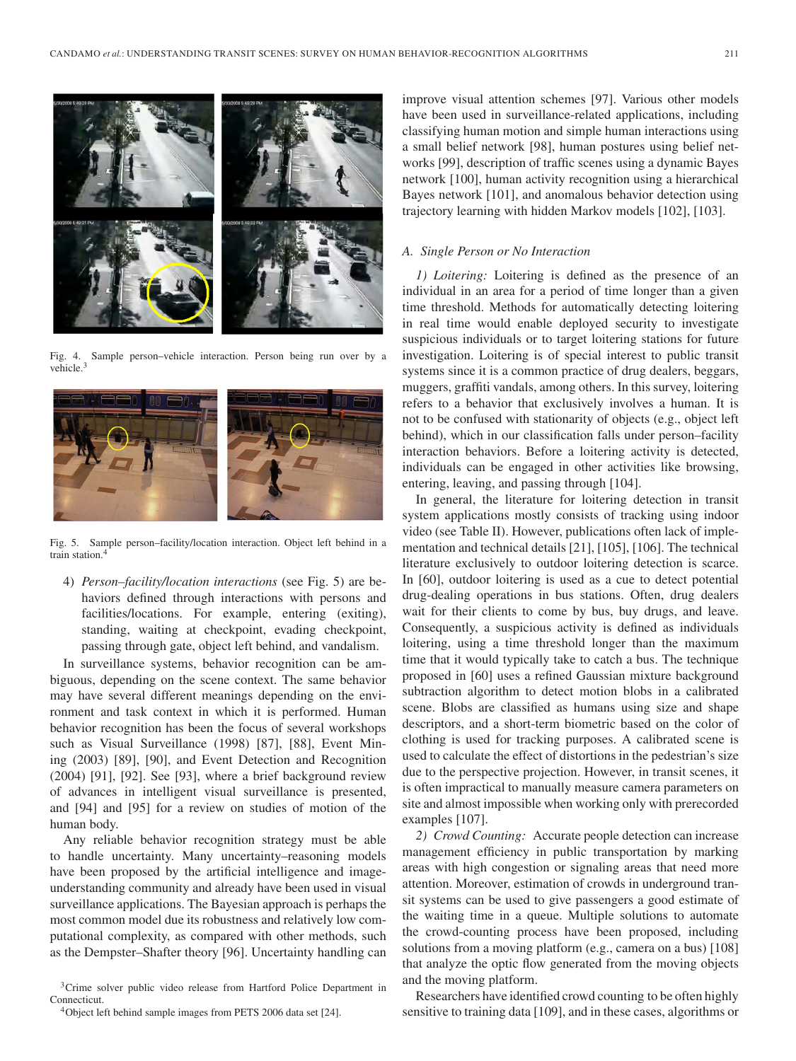

Fig. 4. Sample person–vehicle interaction. Person being run over by a vehicle.<sup>3</sup>



Fig. 5. Sample person–facility/location interaction. Object left behind in a train station.<sup>4</sup>

4) *Person–facility/location interactions* (see Fig. 5) are behaviors defined through interactions with persons and facilities/locations. For example, entering (exiting), standing, waiting at checkpoint, evading checkpoint, passing through gate, object left behind, and vandalism.

In surveillance systems, behavior recognition can be ambiguous, depending on the scene context. The same behavior may have several different meanings depending on the environment and task context in which it is performed. Human behavior recognition has been the focus of several workshops such as Visual Surveillance (1998) [87], [88], Event Mining (2003) [89], [90], and Event Detection and Recognition (2004) [91], [92]. See [93], where a brief background review of advances in intelligent visual surveillance is presented, and [94] and [95] for a review on studies of motion of the human body.

Any reliable behavior recognition strategy must be able to handle uncertainty. Many uncertainty–reasoning models have been proposed by the artificial intelligence and imageunderstanding community and already have been used in visual surveillance applications. The Bayesian approach is perhaps the most common model due its robustness and relatively low computational complexity, as compared with other methods, such as the Dempster–Shafter theory [96]. Uncertainty handling can

<sup>3</sup>Crime solver public video release from Hartford Police Department in Connecticut.

improve visual attention schemes [97]. Various other models have been used in surveillance-related applications, including classifying human motion and simple human interactions using a small belief network [98], human postures using belief networks [99], description of traffic scenes using a dynamic Bayes network [100], human activity recognition using a hierarchical Bayes network [101], and anomalous behavior detection using trajectory learning with hidden Markov models [102], [103].

# *A. Single Person or No Interaction*

*1) Loitering:* Loitering is defined as the presence of an individual in an area for a period of time longer than a given time threshold. Methods for automatically detecting loitering in real time would enable deployed security to investigate suspicious individuals or to target loitering stations for future investigation. Loitering is of special interest to public transit systems since it is a common practice of drug dealers, beggars, muggers, graffiti vandals, among others. In this survey, loitering refers to a behavior that exclusively involves a human. It is not to be confused with stationarity of objects (e.g., object left behind), which in our classification falls under person–facility interaction behaviors. Before a loitering activity is detected, individuals can be engaged in other activities like browsing, entering, leaving, and passing through [104].

In general, the literature for loitering detection in transit system applications mostly consists of tracking using indoor video (see Table II). However, publications often lack of implementation and technical details [21], [105], [106]. The technical literature exclusively to outdoor loitering detection is scarce. In [60], outdoor loitering is used as a cue to detect potential drug-dealing operations in bus stations. Often, drug dealers wait for their clients to come by bus, buy drugs, and leave. Consequently, a suspicious activity is defined as individuals loitering, using a time threshold longer than the maximum time that it would typically take to catch a bus. The technique proposed in [60] uses a refined Gaussian mixture background subtraction algorithm to detect motion blobs in a calibrated scene. Blobs are classified as humans using size and shape descriptors, and a short-term biometric based on the color of clothing is used for tracking purposes. A calibrated scene is used to calculate the effect of distortions in the pedestrian's size due to the perspective projection. However, in transit scenes, it is often impractical to manually measure camera parameters on site and almost impossible when working only with prerecorded examples [107].

*2) Crowd Counting:* Accurate people detection can increase management efficiency in public transportation by marking areas with high congestion or signaling areas that need more attention. Moreover, estimation of crowds in underground transit systems can be used to give passengers a good estimate of the waiting time in a queue. Multiple solutions to automate the crowd-counting process have been proposed, including solutions from a moving platform (e.g., camera on a bus) [108] that analyze the optic flow generated from the moving objects and the moving platform.

Researchers have identified crowd counting to be often highly sensitive to training data [109], and in these cases, algorithms or

 $4$ Object left behind sample images from PETS 2006 data set [24].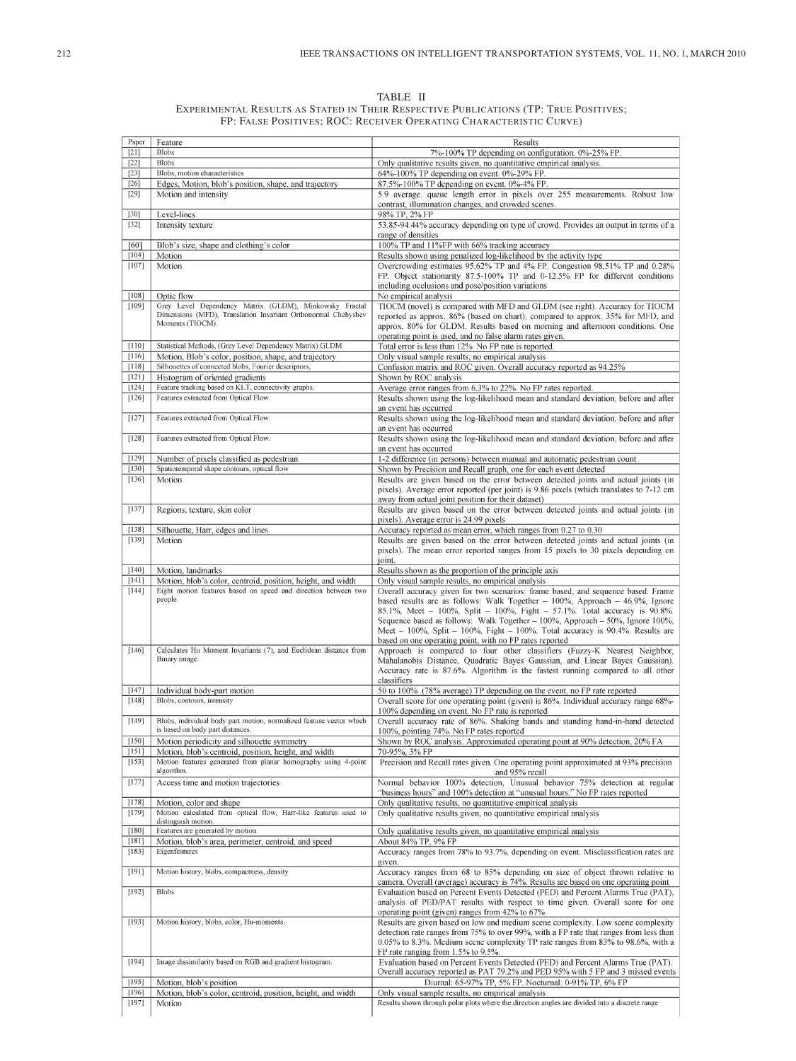TABLE II EXPERIMENTAL RESULTS AS STATED IN THEIR RESPECTIVE PUBLICATIONS (TP: TRUE POSITIVES; FP: FALSE POSITIVES; ROC: RECEIVER OPERATING CHARACTERISTIC CURVE)

| Paper          | Feature                                                                                    | Results                                                                                                                                                                  |
|----------------|--------------------------------------------------------------------------------------------|--------------------------------------------------------------------------------------------------------------------------------------------------------------------------|
| $[21]$         | <b>Blobs</b>                                                                               | 7%-100% TP depending on configuration. 0%-25% FP.                                                                                                                        |
| $[22]$         | Blobs                                                                                      | Only qualitative results given, no quantitative empirical analysis.                                                                                                      |
| $[23]$         | Blobs, motion characteristics                                                              | 64%-100% TP depending on event. 0%-29% FP.                                                                                                                               |
| $[26]$         | Edges, Motion, blob's position, shape, and trajectory                                      | 87.5%-100% TP depending on event. 0%-4% FP.                                                                                                                              |
| $[29]$         | Motion and intensity                                                                       | 5.9 average. queue length error in pixels over 255 measurements. Robust low                                                                                              |
|                |                                                                                            | contrast, illumination changes, and crowded scenes.<br>98% TP, 2% FP                                                                                                     |
| $[30]$         | Level-lines                                                                                |                                                                                                                                                                          |
| $[32]$         | Intensity texture                                                                          | 53.85-94.44% accuracy depending on type of crowd. Provides an output in terms of a<br>range of densities                                                                 |
| [60]           | Blob's size, shape and clothing's color                                                    | 100% TP and 11%FP with 66% tracking accuracy                                                                                                                             |
| $[104]$        | Motion                                                                                     | Results shown using penalized log-likelihood by the activity type                                                                                                        |
| [107]          | Motion                                                                                     | Overcrowding estimates 95.62% TP and 4% FP. Congestion 98.51% TP and 0.28%                                                                                               |
|                |                                                                                            | FP. Object stationarity 87.5-100% TP and 0-12.5% FP for different conditions                                                                                             |
|                |                                                                                            | including occlusions and pose/position variations                                                                                                                        |
| [108]          | Optic flow                                                                                 | No empirical analysis                                                                                                                                                    |
| [109]          | Grey Level Dependency Matrix (GLDM), Minkowsky Fractal                                     | TIOCM (novel) is compared with MFD and GLDM (see right). Accuracy for TIOCM                                                                                              |
|                | Dimensions (MFD), Translation Invariant Orthonormal Chebyshev<br>Moments (TIOCM).          | reported as approx. 86% (based on chart), compared to approx. 35% for MFD, and                                                                                           |
|                |                                                                                            | approx. 80% for GLDM. Results based on morning and afternoon conditions. One                                                                                             |
| [110]          | Statistical Methods, (Grey Level Dependency Matrix) GLDM                                   | operating point is used, and no false alarm rates given.                                                                                                                 |
| [116]          | Motion, Blob's color, position, shape, and trajectory                                      | Total error is less than 12%. No FP rate is reported.<br>Only visual sample results, no empirical analysis                                                               |
| [118]          | Silhouettes of connected blobs, Fourier descriptors,                                       | Confusion matrix and ROC given. Overall accuracy reported as 94.25%                                                                                                      |
| [121]          | Histogram of oriented gradients                                                            | Shown by ROC analysis                                                                                                                                                    |
| 124            | Feature tracking based on KLT, connectivity graphs.                                        | Average error ranges from 6.3% to 22%. No FP rates reported.                                                                                                             |
| [126]          | Features extracted from Optical Flow.                                                      | Results shown using the log-likelihood mean and standard deviation, before and after                                                                                     |
|                |                                                                                            | an event has occurred                                                                                                                                                    |
| $[127]$        | Features extracted from Optical Flow.                                                      | Results shown using the log-likelihood mean and standard deviation, before and after                                                                                     |
|                |                                                                                            | an event has occurred                                                                                                                                                    |
| [128]          | Features extracted from Optical Flow.                                                      | Results shown using the log-likelihood mean and standard deviation, before and after<br>an event has occurred                                                            |
| [129]          | Number of pixels classified as pedestrian                                                  | 1-2 difference (in persons) between manual and automatic pedestrian count                                                                                                |
| [130]          | Spatiotemporal shape contours, optical flow                                                | Shown by Precision and Recall graph, one for each event detected                                                                                                         |
| $[136]$        | Motion                                                                                     | Results are given based on the error between detected joints and actual joints (in                                                                                       |
|                |                                                                                            | pixels). Average error reported (per joint) is 9.86 pixels (which translates to 7-12 cm                                                                                  |
|                |                                                                                            | away from actual joint position for their dataset)                                                                                                                       |
| $[137]$        | Regions, texture, skin color                                                               | Results are given based on the error between detected joints and actual joints (in                                                                                       |
| [138]          |                                                                                            | pixels). Average error is 24.99 pixels<br>Accuracy reported as mean error, which ranges from 0.27 to 0.30                                                                |
| [139]          | Silhouette, Harr, edges and lines<br>Motion                                                | Results are given based on the error between detected joints and actual joints (in                                                                                       |
|                |                                                                                            | pixels). The mean error reported ranges from 15 pixels to 30 pixels depending on                                                                                         |
|                |                                                                                            | joint.                                                                                                                                                                   |
| $[140]$        | Motion, landmarks                                                                          | Results shown as the proportion of the principle axis                                                                                                                    |
|                |                                                                                            |                                                                                                                                                                          |
| $[141]$        | Motion, blob's color, centroid, position, height, and width                                | Only visual sample results, no empirical analysis                                                                                                                        |
| [144]          | Eight motion features based on speed and direction between two                             | Overall accuracy given for two scenarios: frame based, and sequence based. Frame                                                                                         |
|                | people.                                                                                    | based results are as follows: Walk Together $-100\%$ , Approach $-46.9\%$ , Ignore                                                                                       |
|                |                                                                                            | 85.1%, Meet - 100%, Split - 100%, Fight - 57.1%. Total accuracy is 90.8%.                                                                                                |
|                |                                                                                            | Sequence based as follows: Walk Together - 100%, Approach - 50%, Ignore 100%,                                                                                            |
|                |                                                                                            | Meet $-100\%$ , Split $-100\%$ , Fight $-100\%$ . Total accuracy is 90.4%. Results are<br>based on one operating point, with no FP rates reported                        |
| $[146]$        | Calculates Hu Moment Invariants (7), and Euclidean distance from                           | Approach is compared to four other classifiers (Fuzzy-K Nearest Neighbor,                                                                                                |
|                | Binary image.                                                                              | Mahalanobis Distance, Quadratic Bayes Gaussian, and Linear Bayes Gaussian).                                                                                              |
|                |                                                                                            | Accuracy rate is 87.6%. Algorithm is the fastest running compared to all other                                                                                           |
|                |                                                                                            | classifiers                                                                                                                                                              |
| [147]          | Individual body-part motion                                                                | 50 to 100% (78% average) TP depending on the event, no FP rate reported                                                                                                  |
| $[148]$        | Blobs, contours, intensity                                                                 | Overall score for one operating point (given) is 86%. Individual accuracy range 68%-                                                                                     |
|                | Blobs, individual body part motion, normalized feature vector which                        | 100% depending on event. No FP rate is reported                                                                                                                          |
| [149]          | is based on body part distances.                                                           | Overall accuracy rate of 86%. Shaking hands and standing hand-in-hand detected<br>100%, pointing 74%. No FP rates reported                                               |
| [150]          | Motion periodicity and silhouette symmetry                                                 | Shown by ROC analysis. Approximated operating point at 90% detection, 20% FA                                                                                             |
| [151]          | Motion, blob's centroid, position, height, and width                                       | 70-95%, 3% FP                                                                                                                                                            |
| [153]          | Motion features generated from planar homography using 4-point                             | Precision and Recall rates given. One operating point approximated at 93% precision                                                                                      |
|                | algorithm.                                                                                 | and 95% recall                                                                                                                                                           |
| [177]          | Access time and motion trajectories                                                        | Normal behavior 100% detection. Unusual behavior 75% detection at regular                                                                                                |
| [178]          |                                                                                            | "business hours" and 100% detection at "unusual hours." No FP rates reported                                                                                             |
| [179]          | Motion, color and shape<br>Motion calculated from optical flow, Harr-like features used to | Only qualitative results, no quantitative empirical analysis<br>Only qualitative results given, no quantitative empirical analysis                                       |
|                | distinguish motion.                                                                        |                                                                                                                                                                          |
| [180]          | Features are generated by motion.                                                          | Only qualitative results given, no quantitative empirical analysis                                                                                                       |
| [181]          | Motion, blob's area, perimeter, centroid, and speed                                        | About 84% TP, 9% FP                                                                                                                                                      |
| [183]          | Eigenfeatures                                                                              | Accuracy ranges from 78% to 93.7%, depending on event. Misclassification rates are<br>given.                                                                             |
| [191]          | Motion history, blobs, compactness, density                                                | Accuracy ranges from 68 to 85% depending on size of object thrown relative to                                                                                            |
|                |                                                                                            | camera. Overall (average) accuracy is 74%. Results are based on one operating point                                                                                      |
| [192]          | <b>Blobs</b>                                                                               | Evaluation based on Percent Events Detected (PED) and Percent Alarms True (PAT).                                                                                         |
|                |                                                                                            | analysis of PED/PAT results with respect to time given. Overall score for one                                                                                            |
|                |                                                                                            | operating point (given) ranges from 42% to 67%                                                                                                                           |
| [193]          | Motion history, blobs, color, Hu-moments.                                                  | Results are given based on low and medium scene complexity. Low scene complexity                                                                                         |
|                |                                                                                            | detection rate ranges from 75% to over 99%, with a FP rate that ranges from less than<br>0.05% to 8.3%. Medium scene complexity TP rate ranges from 83% to 98.6%, with a |
|                |                                                                                            | FP rate ranging from 1.5% to 9.5%.                                                                                                                                       |
| [194]          | Image dissimilarity based on RGB and gradient histogram.                                   | Evaluation based on Percent Events Detected (PED) and Percent Alarms True (PAT).                                                                                         |
|                |                                                                                            | Overall accuracy reported as PAT 79.2% and PED 95% with 5 FP and 3 missed events                                                                                         |
| [195]          | Motion, blob's position                                                                    | Diurnal: 65-97% TP, 5% FP. Nocturnal: 0-91% TP, 6% FP                                                                                                                    |
| [196]<br>[197] | Motion, blob's color, centroid, position, height, and width<br>Motion                      | Only visual sample results, no empirical analysis<br>Results shown through polar plots where the direction angles are divided into a discrete range                      |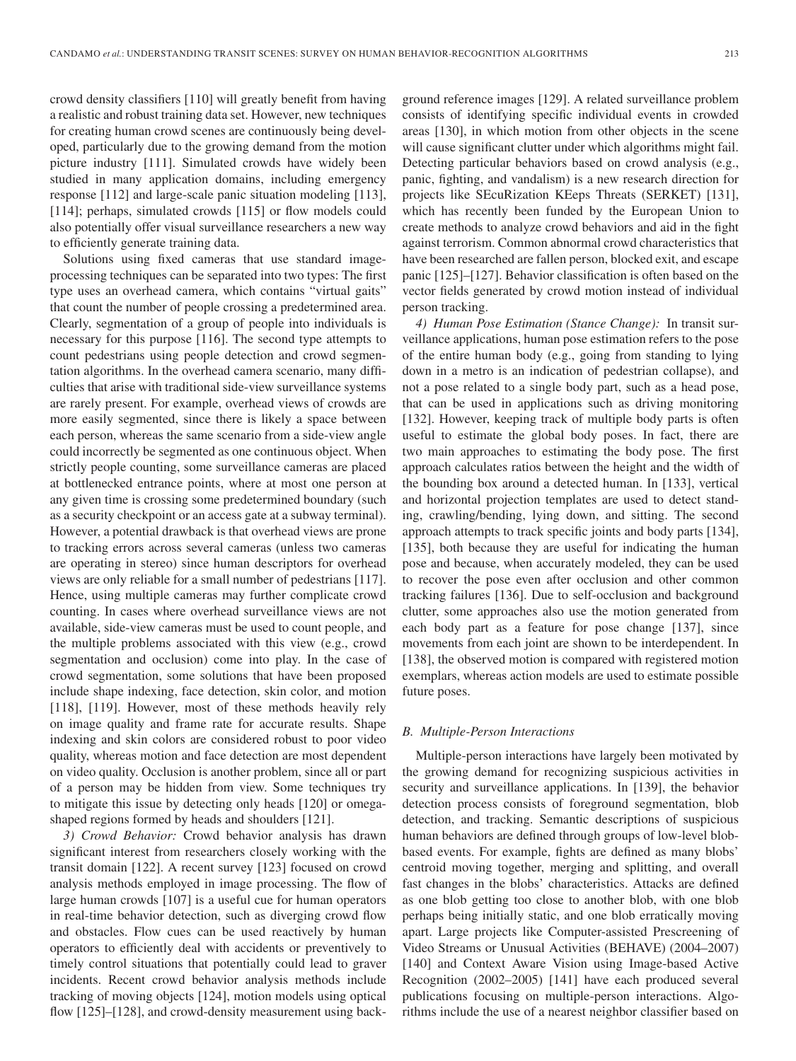crowd density classifiers [110] will greatly benefit from having a realistic and robust training data set. However, new techniques for creating human crowd scenes are continuously being developed, particularly due to the growing demand from the motion picture industry [111]. Simulated crowds have widely been studied in many application domains, including emergency response [112] and large-scale panic situation modeling [113], [114]; perhaps, simulated crowds [115] or flow models could also potentially offer visual surveillance researchers a new way to efficiently generate training data.

Solutions using fixed cameras that use standard imageprocessing techniques can be separated into two types: The first type uses an overhead camera, which contains "virtual gaits" that count the number of people crossing a predetermined area. Clearly, segmentation of a group of people into individuals is necessary for this purpose [116]. The second type attempts to count pedestrians using people detection and crowd segmentation algorithms. In the overhead camera scenario, many difficulties that arise with traditional side-view surveillance systems are rarely present. For example, overhead views of crowds are more easily segmented, since there is likely a space between each person, whereas the same scenario from a side-view angle could incorrectly be segmented as one continuous object. When strictly people counting, some surveillance cameras are placed at bottlenecked entrance points, where at most one person at any given time is crossing some predetermined boundary (such as a security checkpoint or an access gate at a subway terminal). However, a potential drawback is that overhead views are prone to tracking errors across several cameras (unless two cameras are operating in stereo) since human descriptors for overhead views are only reliable for a small number of pedestrians [117]. Hence, using multiple cameras may further complicate crowd counting. In cases where overhead surveillance views are not available, side-view cameras must be used to count people, and the multiple problems associated with this view (e.g., crowd segmentation and occlusion) come into play. In the case of crowd segmentation, some solutions that have been proposed include shape indexing, face detection, skin color, and motion [118], [119]. However, most of these methods heavily rely on image quality and frame rate for accurate results. Shape indexing and skin colors are considered robust to poor video quality, whereas motion and face detection are most dependent on video quality. Occlusion is another problem, since all or part of a person may be hidden from view. Some techniques try to mitigate this issue by detecting only heads [120] or omegashaped regions formed by heads and shoulders [121].

*3) Crowd Behavior:* Crowd behavior analysis has drawn significant interest from researchers closely working with the transit domain [122]. A recent survey [123] focused on crowd analysis methods employed in image processing. The flow of large human crowds [107] is a useful cue for human operators in real-time behavior detection, such as diverging crowd flow and obstacles. Flow cues can be used reactively by human operators to efficiently deal with accidents or preventively to timely control situations that potentially could lead to graver incidents. Recent crowd behavior analysis methods include tracking of moving objects [124], motion models using optical flow [125]–[128], and crowd-density measurement using background reference images [129]. A related surveillance problem consists of identifying specific individual events in crowded areas [130], in which motion from other objects in the scene will cause significant clutter under which algorithms might fail. Detecting particular behaviors based on crowd analysis (e.g., panic, fighting, and vandalism) is a new research direction for projects like SEcuRization KEeps Threats (SERKET) [131], which has recently been funded by the European Union to create methods to analyze crowd behaviors and aid in the fight against terrorism. Common abnormal crowd characteristics that have been researched are fallen person, blocked exit, and escape panic [125]–[127]. Behavior classification is often based on the vector fields generated by crowd motion instead of individual person tracking.

*4) Human Pose Estimation (Stance Change):* In transit surveillance applications, human pose estimation refers to the pose of the entire human body (e.g., going from standing to lying down in a metro is an indication of pedestrian collapse), and not a pose related to a single body part, such as a head pose, that can be used in applications such as driving monitoring [132]. However, keeping track of multiple body parts is often useful to estimate the global body poses. In fact, there are two main approaches to estimating the body pose. The first approach calculates ratios between the height and the width of the bounding box around a detected human. In [133], vertical and horizontal projection templates are used to detect standing, crawling/bending, lying down, and sitting. The second approach attempts to track specific joints and body parts [134], [135], both because they are useful for indicating the human pose and because, when accurately modeled, they can be used to recover the pose even after occlusion and other common tracking failures [136]. Due to self-occlusion and background clutter, some approaches also use the motion generated from each body part as a feature for pose change [137], since movements from each joint are shown to be interdependent. In [138], the observed motion is compared with registered motion exemplars, whereas action models are used to estimate possible future poses.

## *B. Multiple-Person Interactions*

Multiple-person interactions have largely been motivated by the growing demand for recognizing suspicious activities in security and surveillance applications. In [139], the behavior detection process consists of foreground segmentation, blob detection, and tracking. Semantic descriptions of suspicious human behaviors are defined through groups of low-level blobbased events. For example, fights are defined as many blobs' centroid moving together, merging and splitting, and overall fast changes in the blobs' characteristics. Attacks are defined as one blob getting too close to another blob, with one blob perhaps being initially static, and one blob erratically moving apart. Large projects like Computer-assisted Prescreening of Video Streams or Unusual Activities (BEHAVE) (2004–2007) [140] and Context Aware Vision using Image-based Active Recognition (2002–2005) [141] have each produced several publications focusing on multiple-person interactions. Algorithms include the use of a nearest neighbor classifier based on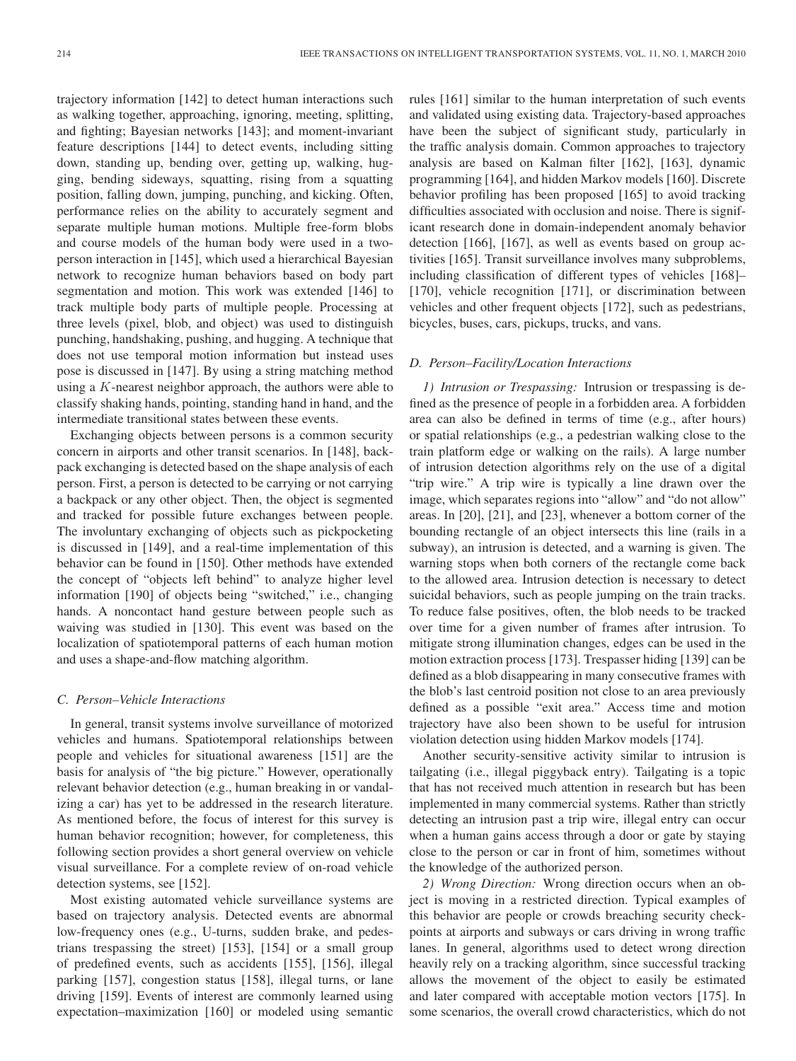trajectory information [142] to detect human interactions such as walking together, approaching, ignoring, meeting, splitting, and fighting; Bayesian networks [143]; and moment-invariant feature descriptions [144] to detect events, including sitting down, standing up, bending over, getting up, walking, hugging, bending sideways, squatting, rising from a squatting position, falling down, jumping, punching, and kicking. Often, performance relies on the ability to accurately segment and separate multiple human motions. Multiple free-form blobs and course models of the human body were used in a twoperson interaction in [145], which used a hierarchical Bayesian network to recognize human behaviors based on body part segmentation and motion. This work was extended [146] to track multiple body parts of multiple people. Processing at three levels (pixel, blob, and object) was used to distinguish punching, handshaking, pushing, and hugging. A technique that does not use temporal motion information but instead uses pose is discussed in [147]. By using a string matching method using a K-nearest neighbor approach, the authors were able to classify shaking hands, pointing, standing hand in hand, and the intermediate transitional states between these events.

Exchanging objects between persons is a common security concern in airports and other transit scenarios. In [148], backpack exchanging is detected based on the shape analysis of each person. First, a person is detected to be carrying or not carrying a backpack or any other object. Then, the object is segmented and tracked for possible future exchanges between people. The involuntary exchanging of objects such as pickpocketing is discussed in [149], and a real-time implementation of this behavior can be found in [150]. Other methods have extended the concept of "objects left behind" to analyze higher level information [190] of objects being "switched," i.e., changing hands. A noncontact hand gesture between people such as waiving was studied in [130]. This event was based on the localization of spatiotemporal patterns of each human motion and uses a shape-and-flow matching algorithm.

# *C. Person–Vehicle Interactions*

In general, transit systems involve surveillance of motorized vehicles and humans. Spatiotemporal relationships between people and vehicles for situational awareness [151] are the basis for analysis of "the big picture." However, operationally relevant behavior detection (e.g., human breaking in or vandalizing a car) has yet to be addressed in the research literature. As mentioned before, the focus of interest for this survey is human behavior recognition; however, for completeness, this following section provides a short general overview on vehicle visual surveillance. For a complete review of on-road vehicle detection systems, see [152].

Most existing automated vehicle surveillance systems are based on trajectory analysis. Detected events are abnormal low-frequency ones (e.g., U-turns, sudden brake, and pedestrians trespassing the street) [153], [154] or a small group of predefined events, such as accidents [155], [156], illegal parking [157], congestion status [158], illegal turns, or lane driving [159]. Events of interest are commonly learned using expectation–maximization [160] or modeled using semantic rules [161] similar to the human interpretation of such events and validated using existing data. Trajectory-based approaches have been the subject of significant study, particularly in the traffic analysis domain. Common approaches to trajectory analysis are based on Kalman filter [162], [163], dynamic programming [164], and hidden Markov models [160]. Discrete behavior profiling has been proposed [165] to avoid tracking difficulties associated with occlusion and noise. There is significant research done in domain-independent anomaly behavior detection [166], [167], as well as events based on group activities [165]. Transit surveillance involves many subproblems, including classification of different types of vehicles [168]– [170], vehicle recognition [171], or discrimination between vehicles and other frequent objects [172], such as pedestrians, bicycles, buses, cars, pickups, trucks, and vans.

#### *D. Person–Facility/Location Interactions*

*1) Intrusion or Trespassing:* Intrusion or trespassing is defined as the presence of people in a forbidden area. A forbidden area can also be defined in terms of time (e.g., after hours) or spatial relationships (e.g., a pedestrian walking close to the train platform edge or walking on the rails). A large number of intrusion detection algorithms rely on the use of a digital "trip wire." A trip wire is typically a line drawn over the image, which separates regions into "allow" and "do not allow" areas. In [20], [21], and [23], whenever a bottom corner of the bounding rectangle of an object intersects this line (rails in a subway), an intrusion is detected, and a warning is given. The warning stops when both corners of the rectangle come back to the allowed area. Intrusion detection is necessary to detect suicidal behaviors, such as people jumping on the train tracks. To reduce false positives, often, the blob needs to be tracked over time for a given number of frames after intrusion. To mitigate strong illumination changes, edges can be used in the motion extraction process [173]. Trespasser hiding [139] can be defined as a blob disappearing in many consecutive frames with the blob's last centroid position not close to an area previously defined as a possible "exit area." Access time and motion trajectory have also been shown to be useful for intrusion violation detection using hidden Markov models [174].

Another security-sensitive activity similar to intrusion is tailgating (i.e., illegal piggyback entry). Tailgating is a topic that has not received much attention in research but has been implemented in many commercial systems. Rather than strictly detecting an intrusion past a trip wire, illegal entry can occur when a human gains access through a door or gate by staying close to the person or car in front of him, sometimes without the knowledge of the authorized person.

*2) Wrong Direction:* Wrong direction occurs when an object is moving in a restricted direction. Typical examples of this behavior are people or crowds breaching security checkpoints at airports and subways or cars driving in wrong traffic lanes. In general, algorithms used to detect wrong direction heavily rely on a tracking algorithm, since successful tracking allows the movement of the object to easily be estimated and later compared with acceptable motion vectors [175]. In some scenarios, the overall crowd characteristics, which do not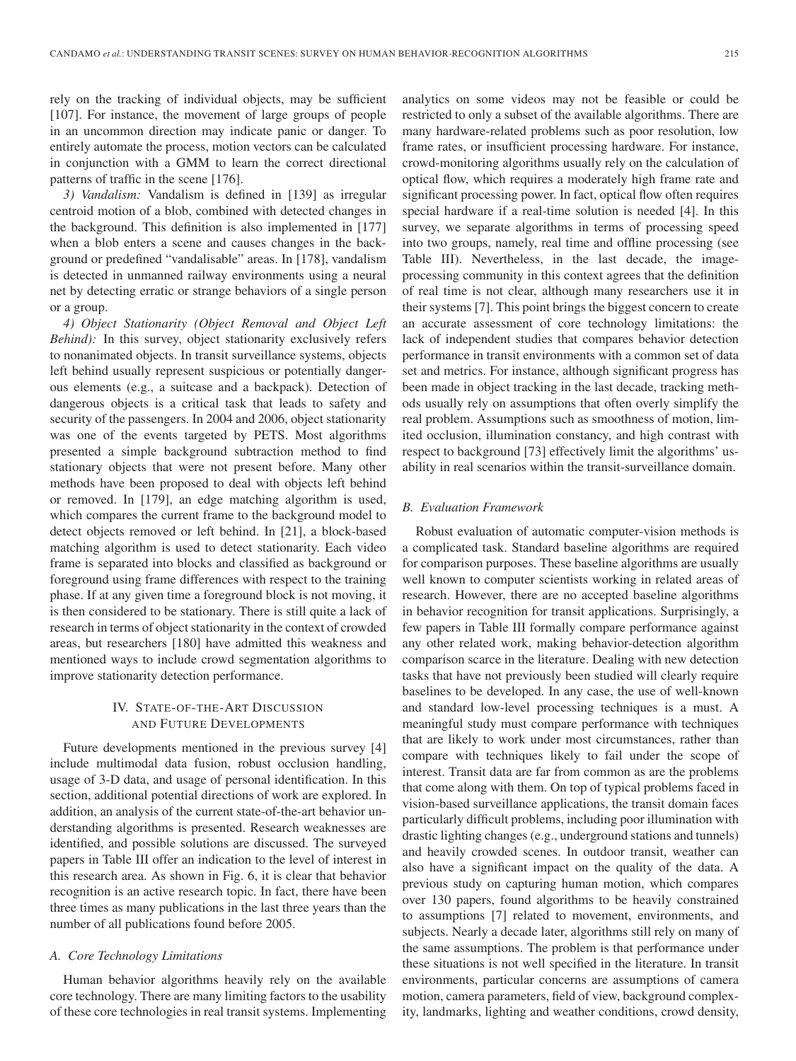rely on the tracking of individual objects, may be sufficient [107]. For instance, the movement of large groups of people in an uncommon direction may indicate panic or danger. To entirely automate the process, motion vectors can be calculated in conjunction with a GMM to learn the correct directional patterns of traffic in the scene [176].

*3) Vandalism:* Vandalism is defined in [139] as irregular centroid motion of a blob, combined with detected changes in the background. This definition is also implemented in [177] when a blob enters a scene and causes changes in the background or predefined "vandalisable" areas. In [178], vandalism is detected in unmanned railway environments using a neural net by detecting erratic or strange behaviors of a single person or a group.

*4) Object Stationarity (Object Removal and Object Left Behind):* In this survey, object stationarity exclusively refers to nonanimated objects. In transit surveillance systems, objects left behind usually represent suspicious or potentially dangerous elements (e.g., a suitcase and a backpack). Detection of dangerous objects is a critical task that leads to safety and security of the passengers. In 2004 and 2006, object stationarity was one of the events targeted by PETS. Most algorithms presented a simple background subtraction method to find stationary objects that were not present before. Many other methods have been proposed to deal with objects left behind or removed. In [179], an edge matching algorithm is used, which compares the current frame to the background model to detect objects removed or left behind. In [21], a block-based matching algorithm is used to detect stationarity. Each video frame is separated into blocks and classified as background or foreground using frame differences with respect to the training phase. If at any given time a foreground block is not moving, it is then considered to be stationary. There is still quite a lack of research in terms of object stationarity in the context of crowded areas, but researchers [180] have admitted this weakness and mentioned ways to include crowd segmentation algorithms to improve stationarity detection performance.

# IV. STATE-OF-THE-ART DISCUSSION AND FUTURE DEVELOPMENTS

Future developments mentioned in the previous survey [4] include multimodal data fusion, robust occlusion handling, usage of 3-D data, and usage of personal identification. In this section, additional potential directions of work are explored. In addition, an analysis of the current state-of-the-art behavior understanding algorithms is presented. Research weaknesses are identified, and possible solutions are discussed. The surveyed papers in Table III offer an indication to the level of interest in this research area. As shown in Fig. 6, it is clear that behavior recognition is an active research topic. In fact, there have been three times as many publications in the last three years than the number of all publications found before 2005.

# *A. Core Technology Limitations*

Human behavior algorithms heavily rely on the available core technology. There are many limiting factors to the usability of these core technologies in real transit systems. Implementing

analytics on some videos may not be feasible or could be restricted to only a subset of the available algorithms. There are many hardware-related problems such as poor resolution, low frame rates, or insufficient processing hardware. For instance, crowd-monitoring algorithms usually rely on the calculation of optical flow, which requires a moderately high frame rate and significant processing power. In fact, optical flow often requires special hardware if a real-time solution is needed [4]. In this survey, we separate algorithms in terms of processing speed into two groups, namely, real time and offline processing (see Table III). Nevertheless, in the last decade, the imageprocessing community in this context agrees that the definition of real time is not clear, although many researchers use it in their systems [7]. This point brings the biggest concern to create an accurate assessment of core technology limitations: the lack of independent studies that compares behavior detection performance in transit environments with a common set of data set and metrics. For instance, although significant progress has been made in object tracking in the last decade, tracking methods usually rely on assumptions that often overly simplify the real problem. Assumptions such as smoothness of motion, limited occlusion, illumination constancy, and high contrast with respect to background [73] effectively limit the algorithms' usability in real scenarios within the transit-surveillance domain.

### *B. Evaluation Framework*

Robust evaluation of automatic computer-vision methods is a complicated task. Standard baseline algorithms are required for comparison purposes. These baseline algorithms are usually well known to computer scientists working in related areas of research. However, there are no accepted baseline algorithms in behavior recognition for transit applications. Surprisingly, a few papers in Table III formally compare performance against any other related work, making behavior-detection algorithm comparison scarce in the literature. Dealing with new detection tasks that have not previously been studied will clearly require baselines to be developed. In any case, the use of well-known and standard low-level processing techniques is a must. A meaningful study must compare performance with techniques that are likely to work under most circumstances, rather than compare with techniques likely to fail under the scope of interest. Transit data are far from common as are the problems that come along with them. On top of typical problems faced in vision-based surveillance applications, the transit domain faces particularly difficult problems, including poor illumination with drastic lighting changes (e.g., underground stations and tunnels) and heavily crowded scenes. In outdoor transit, weather can also have a significant impact on the quality of the data. A previous study on capturing human motion, which compares over 130 papers, found algorithms to be heavily constrained to assumptions [7] related to movement, environments, and subjects. Nearly a decade later, algorithms still rely on many of the same assumptions. The problem is that performance under these situations is not well specified in the literature. In transit environments, particular concerns are assumptions of camera motion, camera parameters, field of view, background complexity, landmarks, lighting and weather conditions, crowd density,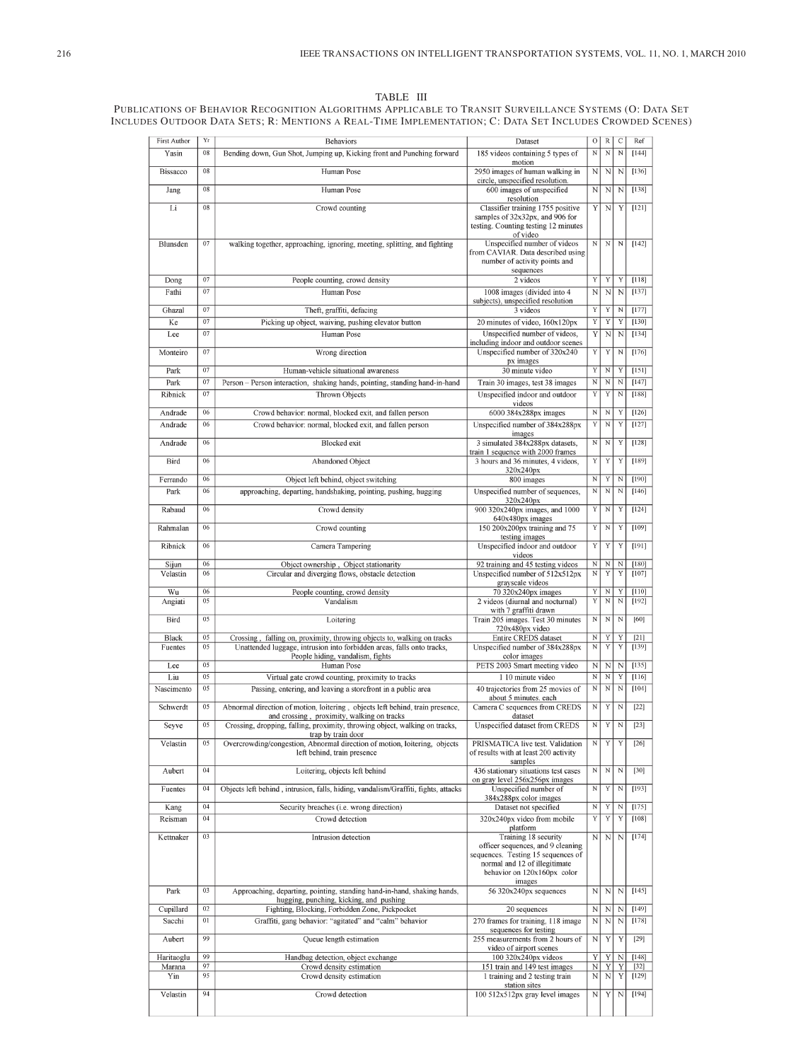# TABLE III

PUBLICATIONS OF BEHAVIOR RECOGNITION ALGORITHMS APPLICABLE TO TRANSIT SURVEILLANCE SYSTEMS (O: DATA SET INCLUDES OUTDOOR DATA SETS; R: MENTIONS A REAL-TIME IMPLEMENTATION; C: DATA SET INCLUDES CROWDED SCENES)

| First Author        | Yr              | <b>Behaviors</b>                                                                                                          | Dataset                                                                                                         | $\circ$     | $\,$ R                  | $\mathcal C$                   | Ref            |
|---------------------|-----------------|---------------------------------------------------------------------------------------------------------------------------|-----------------------------------------------------------------------------------------------------------------|-------------|-------------------------|--------------------------------|----------------|
| Yasin               | 08              | Bending down, Gun Shot, Jumping up, Kicking front and Punching forward                                                    | 185 videos containing 5 types of<br>motion                                                                      | N           | N                       | N                              | [144]          |
| <b>Bissacco</b>     | $\overline{08}$ | Human Pose                                                                                                                | 2950 images of human walking in                                                                                 | N           | N                       | N                              | [136]          |
| Jang                | $\overline{08}$ | Human Pose                                                                                                                | circle, unspecified resolution.<br>600 images of unspecified                                                    | N           | N                       | N                              | [138]          |
| Li                  | 08              | resolution<br>Classifier training 1755 positive<br>Crowd counting                                                         |                                                                                                                 | Υ           | N                       | Y                              | [121]          |
|                     |                 |                                                                                                                           | samples of 32x32px, and 906 for<br>testing. Counting testing 12 minutes<br>of video                             |             |                         |                                |                |
| Blunsden            | 07              | walking together, approaching, ignoring, meeting, splitting, and fighting                                                 | Unspecified number of videos<br>from CAVIAR. Data described using<br>number of activity points and<br>sequences | $_{\rm N}$  | N                       | N                              | $[142]$        |
| Dong                | 07              | People counting, crowd density                                                                                            | 2 videos                                                                                                        | Y           | Y                       | Y                              | [118]          |
| Fathi               | 07              | Human Pose                                                                                                                | 1008 images (divided into 4                                                                                     | $\mathbb N$ | N                       | N                              | [137]          |
| Ghazal              | 07              | Theft, graffiti, defacing                                                                                                 | subjects), unspecified resolution<br>3 videos                                                                   | Y           | Y                       | N                              | [177]          |
| Ke                  | 07              | Picking up object, waiving, pushing elevator button                                                                       | 20 minutes of video, 160x120px                                                                                  | Y           | Y                       | Y                              | [130]          |
| Lee                 | 07              | Human Pose                                                                                                                | Unspecified number of videos,<br>including indoor and outdoor scenes                                            | Ÿ           | N                       | N                              | [134]          |
| Monteiro            | 07              | Wrong direction                                                                                                           | Unspecified number of 320x240<br>px images                                                                      | Y           | Υ                       | N                              | [176]          |
| Park                | 07              | Human-vehicle situational awareness                                                                                       | 30 minute video                                                                                                 | Υ           | N                       | Y                              | [151]          |
| Park                | 07              | Person - Person interaction, shaking hands, pointing, standing hand-in-hand                                               | Train 30 images, test 38 images                                                                                 | N           | N                       | $\overline{\mathsf{N}}$        | [147]          |
| Ribnick             | 07              | <b>Thrown Objects</b>                                                                                                     | Unspecified indoor and outdoor<br>videos                                                                        | Y           | Y                       | $\overline{N}$                 | [188]          |
| Andrade             | 06              | Crowd behavior: normal, blocked exit, and fallen person                                                                   | 6000 384x288px images                                                                                           | N           | N                       | Y                              | $[126]$        |
| Andrade             | 06              | Crowd behavior: normal, blocked exit, and fallen person                                                                   | Unspecified number of 384x288px                                                                                 | Y           | $\overline{N}$          | Y                              | [127]          |
| Andrade             | 06              | Blocked exit                                                                                                              | images<br>3 simulated 384x288px datasets,                                                                       | N           | $_{\rm N}$              | Y                              | [128]          |
|                     |                 |                                                                                                                           | train 1 sequence with 2000 frames                                                                               |             |                         |                                |                |
| Bird                | 06              | Abandoned Object                                                                                                          | 3 hours and 36 minutes, 4 videos,<br>320x240px                                                                  | Υ           | Y                       | Y                              | [189]          |
| Ferrando            | 06              | Object left behind, object switching                                                                                      | 800 images                                                                                                      | N           | Υ                       | N                              | [190]          |
| Park                | 06              | approaching, departing, handshaking, pointing, pushing, hugging                                                           | Unspecified number of sequences,                                                                                | N           | N                       | $\overline{\mathsf{N}}$        | [146]          |
| Rabaud              | 06              | Crowd density                                                                                                             | 320x240px<br>900 320x240px images, and 1000                                                                     | Υ           | N                       | Υ                              | [124]          |
| Rahmalan            | 06              | Crowd counting                                                                                                            | 640x480px images<br>150 200x200px training and 75                                                               | Υ           | N                       | Y                              | [109]          |
| Ribnick             | 06              | Camera Tampering                                                                                                          | testing images<br>Unspecified indoor and outdoor<br>videos                                                      | Y           | Y                       | Y                              | [191]          |
| Sijun               | 06              | Object ownership, Object stationarity                                                                                     | 92 training and 45 testing videos                                                                               | N           | N                       | N                              | [180]          |
| Velastin            | 06              | Circular and diverging flows, obstacle detection                                                                          | Unspecified number of 512x512px                                                                                 | N           | Y                       | Y                              | [107]          |
| Wu<br>Angiati       | 06<br>05        | People counting, crowd density<br>Vandalism                                                                               | grayscale videos<br>70 320x240px images<br>2 videos (diurnal and nocturnal)                                     | Y<br>Y      | N<br>$\overline{N}$     | Y<br>$\ensuremath{\mathbb{N}}$ | [110]<br>[192] |
|                     |                 |                                                                                                                           | with 7 graffiti drawn                                                                                           |             |                         |                                |                |
| Bird                | 05              | Loitering                                                                                                                 | Train 205 images. Test 30 minutes<br>720x480px video                                                            | $_{\rm N}$  | $_{\rm N}$              | $\mathbb N$                    | [60]           |
| Black               | 05              | Crossing, falling on, proximity, throwing objects to, walking on tracks                                                   | Entire CREDS dataset                                                                                            | N           | Υ                       | Y                              | [21]           |
| Fuentes             | 05              | Unattended luggage, intrusion into forbidden areas, falls onto tracks,<br>People hiding, vandalism, fights                | Unspecified number of 384x288px<br>color images                                                                 | N           | Y                       | Y                              | [139]          |
| Lee                 | 05              | Human Pose                                                                                                                | PETS 2003 Smart meeting video                                                                                   | N           | N                       | N                              | [135]          |
| Liu                 | 05              | Virtual gate crowd counting, proximity to tracks                                                                          | 1 10 minute video                                                                                               | N           | N                       | Y                              | [116]          |
| Nascimento          | 05              | Passing, entering, and leaving a storefront in a public area                                                              | 40 trajectories from 25 movies of<br>about 5 minutes. each                                                      | Ν           | N                       | $\mathbb N$                    | [104]          |
| Schwerdt            | 05              | Abnormal direction of motion, loitering, objects left behind, train presence,                                             | Camera C sequences from CREDS                                                                                   | N           | Υ                       | N                              | $[22]$         |
| Seyve               | 05              | and crossing, proximity, walking on tracks<br>Crossing, dropping, falling, proximity, throwing object, walking on tracks, | dataset<br>Unspecified dataset from CREDS                                                                       | N           | Υ                       | N                              | $[23]$         |
| Velastin            | 05              | trap by train door<br>Overcrowding/congestion, Abnormal direction of motion, loitering, objects                           | PRISMATICA live test. Validation                                                                                | N           | Y                       | Y                              | $[26]$         |
|                     |                 | left behind, train presence                                                                                               | of results with at least 200 activity<br>samples                                                                |             |                         |                                |                |
| Aubert              | 04              | Loitering, objects left behind                                                                                            | 436 stationary situations test cases<br>on gray level 256x256px images                                          | N           | N                       | $\mathbb N$                    | $[30]$         |
| Fuentes             | 04              | Objects left behind, intrusion, falls, hiding, vandalism/Graffiti, fights, attacks                                        | Unspecified number of<br>384x288px color images                                                                 | N           | Y                       | $\mathbb N$                    | [193]          |
| Kang                | 04              | Security breaches (i.e. wrong direction)                                                                                  | Dataset not specified                                                                                           | N           | Y                       | N                              | [175]          |
| Reisman             | 04              | Crowd detection                                                                                                           | 320x240px video from mobile<br>platform                                                                         | Y           | $\overline{\textbf{Y}}$ | $\mathbf Y$                    | [108]          |
| Kettnaker           | 03              | Intrusion detection                                                                                                       | Training 18 security                                                                                            | N           | $\mathbb{N}$            | N                              | [174]          |
|                     |                 |                                                                                                                           | officer sequences, and 9 cleaning<br>sequences. Testing 15 sequences of                                         |             |                         |                                |                |
|                     |                 |                                                                                                                           | normal and 12 of illegitimate                                                                                   |             |                         |                                |                |
|                     |                 |                                                                                                                           | behavior on 120x160px color<br>images                                                                           |             |                         |                                |                |
| Park                | 03              | Approaching, departing, pointing, standing hand-in-hand, shaking hands,                                                   | 56 320x240px sequences                                                                                          | N           | N                       | N                              | [145]          |
|                     |                 | hugging, punching, kicking, and pushing                                                                                   |                                                                                                                 |             |                         |                                |                |
| Cupillard<br>Sacchi | 02<br>01        | Fighting, Blocking, Forbidden Zone, Pickpocket<br>Graffiti, gang behavior: "agitated" and "calm" behavior                 | 20 sequences<br>270 frames for training, 118 image                                                              | N<br>N      | N<br>$\mathbb N$        | $\mathbb N$<br>$\mathbb N$     | [149]<br>[178] |
|                     |                 |                                                                                                                           | sequences for testing                                                                                           |             |                         |                                |                |
| Aubert              | 99              | Queue length estimation                                                                                                   | 255 measurements from 2 hours of<br>video of airport scenes                                                     | N           | Y                       | Y                              | $[29]$         |
| Haritaoglu          | 99              | Handbag detection, object exchange                                                                                        | 100 320x240px videos                                                                                            | Y           | Y                       | N                              | [148]          |
| Marana              | 97              | Crowd density estimation                                                                                                  | 151 train and 149 test images                                                                                   | N           | Y                       | Y                              | $[32]$         |
| Yin                 | 95              | Crowd density estimation                                                                                                  | 1 training and 2 testing train<br>station sites                                                                 | N           | N                       | Y                              | [129]          |
| Velastin            | 94              | Crowd detection                                                                                                           | 100 512x512px gray level images                                                                                 | N           | Y                       | N                              | [194]          |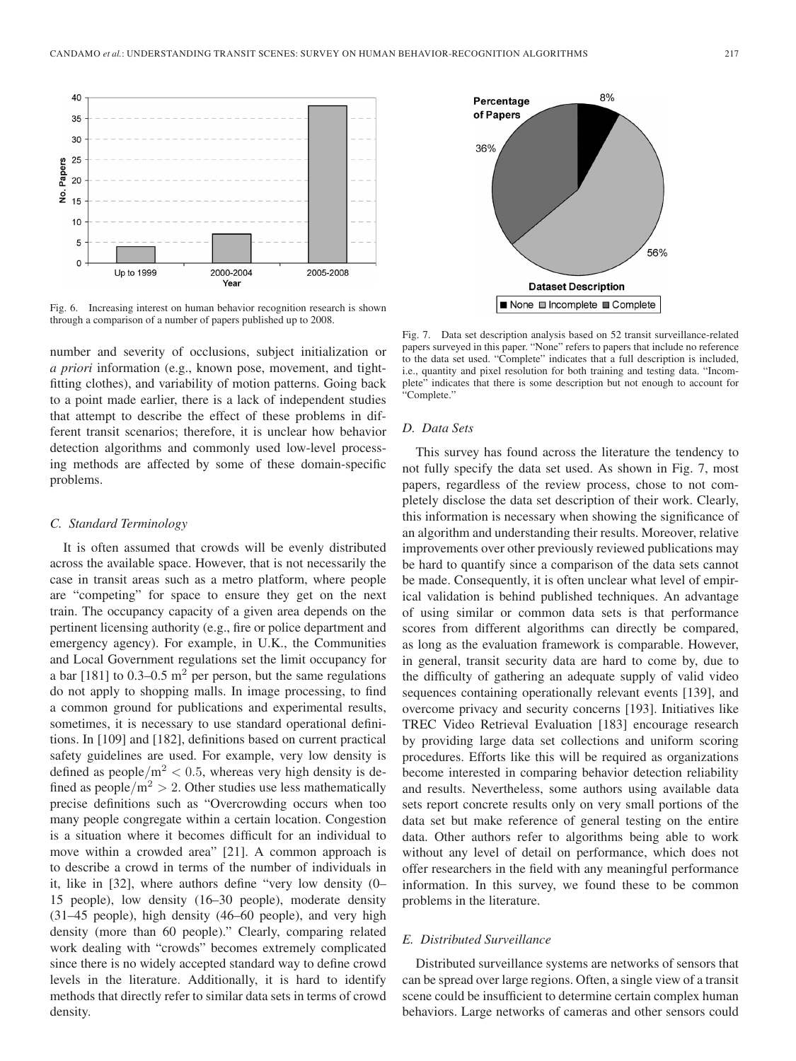

Fig. 6. Increasing interest on human behavior recognition research is shown through a comparison of a number of papers published up to 2008.

number and severity of occlusions, subject initialization or *a priori* information (e.g., known pose, movement, and tightfitting clothes), and variability of motion patterns. Going back to a point made earlier, there is a lack of independent studies that attempt to describe the effect of these problems in different transit scenarios; therefore, it is unclear how behavior detection algorithms and commonly used low-level processing methods are affected by some of these domain-specific problems.

# *C. Standard Terminology*

It is often assumed that crowds will be evenly distributed across the available space. However, that is not necessarily the case in transit areas such as a metro platform, where people are "competing" for space to ensure they get on the next train. The occupancy capacity of a given area depends on the pertinent licensing authority (e.g., fire or police department and emergency agency). For example, in U.K., the Communities and Local Government regulations set the limit occupancy for a bar [181] to 0.3–0.5  $m<sup>2</sup>$  per person, but the same regulations do not apply to shopping malls. In image processing, to find a common ground for publications and experimental results, sometimes, it is necessary to use standard operational definitions. In [109] and [182], definitions based on current practical safety guidelines are used. For example, very low density is defined as people/ $m<sup>2</sup> < 0.5$ , whereas very high density is defined as people/ $m^2 > 2$ . Other studies use less mathematically precise definitions such as "Overcrowding occurs when too many people congregate within a certain location. Congestion is a situation where it becomes difficult for an individual to move within a crowded area" [21]. A common approach is to describe a crowd in terms of the number of individuals in it, like in [32], where authors define "very low density (0– 15 people), low density (16–30 people), moderate density (31–45 people), high density (46–60 people), and very high density (more than 60 people)." Clearly, comparing related work dealing with "crowds" becomes extremely complicated since there is no widely accepted standard way to define crowd levels in the literature. Additionally, it is hard to identify methods that directly refer to similar data sets in terms of crowd density.



Fig. 7. Data set description analysis based on 52 transit surveillance-related papers surveyed in this paper. "None" refers to papers that include no reference to the data set used. "Complete" indicates that a full description is included, i.e., quantity and pixel resolution for both training and testing data. "Incomplete" indicates that there is some description but not enough to account for "Complete."

# *D. Data Sets*

This survey has found across the literature the tendency to not fully specify the data set used. As shown in Fig. 7, most papers, regardless of the review process, chose to not completely disclose the data set description of their work. Clearly, this information is necessary when showing the significance of an algorithm and understanding their results. Moreover, relative improvements over other previously reviewed publications may be hard to quantify since a comparison of the data sets cannot be made. Consequently, it is often unclear what level of empirical validation is behind published techniques. An advantage of using similar or common data sets is that performance scores from different algorithms can directly be compared, as long as the evaluation framework is comparable. However, in general, transit security data are hard to come by, due to the difficulty of gathering an adequate supply of valid video sequences containing operationally relevant events [139], and overcome privacy and security concerns [193]. Initiatives like TREC Video Retrieval Evaluation [183] encourage research by providing large data set collections and uniform scoring procedures. Efforts like this will be required as organizations become interested in comparing behavior detection reliability and results. Nevertheless, some authors using available data sets report concrete results only on very small portions of the data set but make reference of general testing on the entire data. Other authors refer to algorithms being able to work without any level of detail on performance, which does not offer researchers in the field with any meaningful performance information. In this survey, we found these to be common problems in the literature.

### *E. Distributed Surveillance*

Distributed surveillance systems are networks of sensors that can be spread over large regions. Often, a single view of a transit scene could be insufficient to determine certain complex human behaviors. Large networks of cameras and other sensors could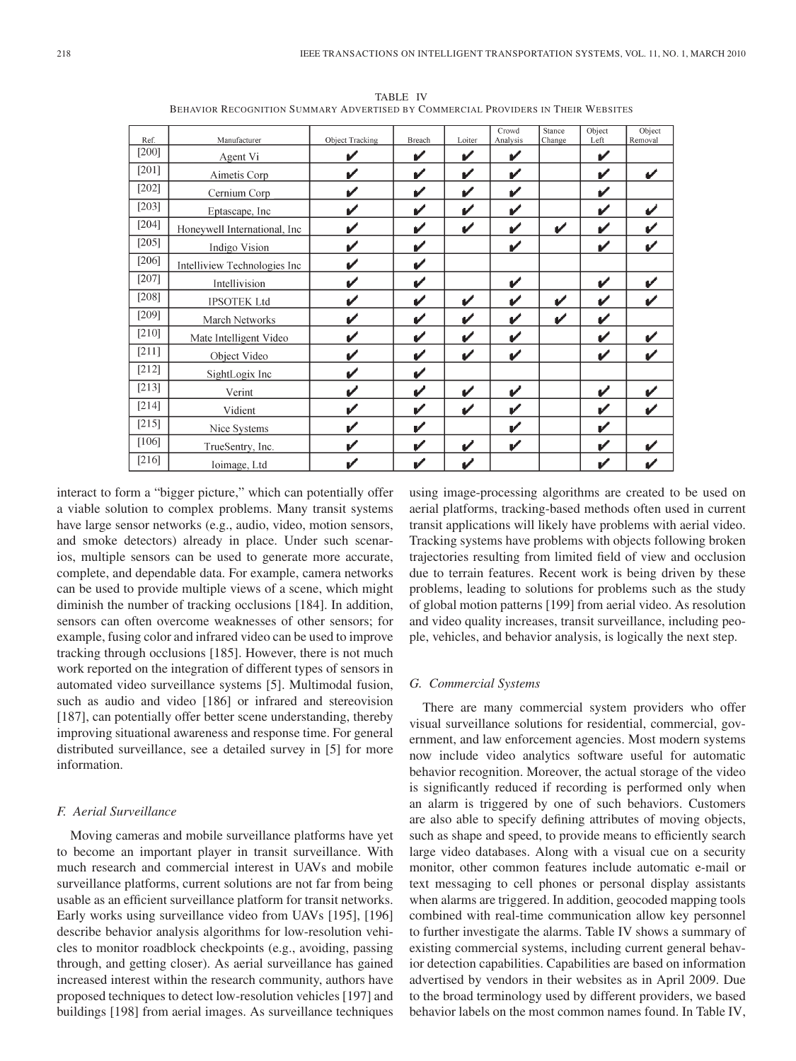| Ref.    | Manufacturer                  | <b>Object Tracking</b> | <b>Breach</b> | Loiter | Crowd<br>Analysis | Stance<br>Change | Object<br>Left | Object<br>Removal |
|---------|-------------------------------|------------------------|---------------|--------|-------------------|------------------|----------------|-------------------|
| $[200]$ | Agent Vi                      | ✔                      | v             | V      | И                 |                  | v              |                   |
| $[201]$ | Aimetis Corp                  | ✔                      | v             | V      | V                 |                  | ν              | ممن               |
| $[202]$ | Cernium Corp                  | ✔                      | ✔             | V      | И                 |                  | И              |                   |
| $[203]$ | Eptascape, Inc.               | ✔                      | ✔             | V      | ν                 |                  | V              | ممع               |
| $[204]$ | Honeywell International, Inc. | ✔                      | ✔             | V      | v                 | V                | ν              | ✔                 |
| $[205]$ | Indigo Vision                 | ν                      | ✔             |        | V                 |                  | V              | V                 |
| [206]   | Intelliview Technologies Inc  | ✔                      | v             |        |                   |                  |                |                   |
| $[207]$ | Intellivision                 | ✓                      | V             |        | V                 |                  | v              | ممن               |
| $[208]$ | <b>IPSOTEK Ltd</b>            | ✔                      | V             | V      | V                 | V                | v              | v                 |
| $[209]$ | March Networks                | V                      | V             | V      | V                 | V                | V              |                   |
| $[210]$ | Mate Intelligent Video        | ✔                      | v             | V      | ✔                 |                  | ✔              |                   |
| $[211]$ | Object Video                  | v                      | v             | V      | V                 |                  | V              | ممه               |
| $[212]$ | SightLogix Inc                | v                      | ✔             |        |                   |                  |                |                   |
| [213]   | Verint                        | v                      | v             | V      | V                 |                  | v              |                   |
| $[214]$ | Vidient                       | ✓                      | ↙             | V      | И                 |                  | ↙              | ✔                 |
| $[215]$ | Nice Systems                  | ✔                      | ✔             |        | ν                 |                  | ν              |                   |
| $[106]$ | TrueSentry, Inc.              | ✓                      | ↙             | V      | ν                 |                  | ν              |                   |
| [216]   | Ioimage, Ltd                  | ↙                      | ↙             | مما    |                   |                  | ν              | v                 |

TABLE IV BEHAVIOR RECOGNITION SUMMARY ADVERTISED BY COMMERCIAL PROVIDERS IN THEIR WEBSITES

interact to form a "bigger picture," which can potentially offer a viable solution to complex problems. Many transit systems have large sensor networks (e.g., audio, video, motion sensors, and smoke detectors) already in place. Under such scenarios, multiple sensors can be used to generate more accurate, complete, and dependable data. For example, camera networks can be used to provide multiple views of a scene, which might diminish the number of tracking occlusions [184]. In addition, sensors can often overcome weaknesses of other sensors; for example, fusing color and infrared video can be used to improve tracking through occlusions [185]. However, there is not much work reported on the integration of different types of sensors in automated video surveillance systems [5]. Multimodal fusion, such as audio and video [186] or infrared and stereovision [187], can potentially offer better scene understanding, thereby improving situational awareness and response time. For general distributed surveillance, see a detailed survey in [5] for more information.

# *F. Aerial Surveillance*

Moving cameras and mobile surveillance platforms have yet to become an important player in transit surveillance. With much research and commercial interest in UAVs and mobile surveillance platforms, current solutions are not far from being usable as an efficient surveillance platform for transit networks. Early works using surveillance video from UAVs [195], [196] describe behavior analysis algorithms for low-resolution vehicles to monitor roadblock checkpoints (e.g., avoiding, passing through, and getting closer). As aerial surveillance has gained increased interest within the research community, authors have proposed techniques to detect low-resolution vehicles [197] and buildings [198] from aerial images. As surveillance techniques using image-processing algorithms are created to be used on aerial platforms, tracking-based methods often used in current transit applications will likely have problems with aerial video. Tracking systems have problems with objects following broken trajectories resulting from limited field of view and occlusion due to terrain features. Recent work is being driven by these problems, leading to solutions for problems such as the study of global motion patterns [199] from aerial video. As resolution and video quality increases, transit surveillance, including people, vehicles, and behavior analysis, is logically the next step.

#### *G. Commercial Systems*

There are many commercial system providers who offer visual surveillance solutions for residential, commercial, government, and law enforcement agencies. Most modern systems now include video analytics software useful for automatic behavior recognition. Moreover, the actual storage of the video is significantly reduced if recording is performed only when an alarm is triggered by one of such behaviors. Customers are also able to specify defining attributes of moving objects, such as shape and speed, to provide means to efficiently search large video databases. Along with a visual cue on a security monitor, other common features include automatic e-mail or text messaging to cell phones or personal display assistants when alarms are triggered. In addition, geocoded mapping tools combined with real-time communication allow key personnel to further investigate the alarms. Table IV shows a summary of existing commercial systems, including current general behavior detection capabilities. Capabilities are based on information advertised by vendors in their websites as in April 2009. Due to the broad terminology used by different providers, we based behavior labels on the most common names found. In Table IV,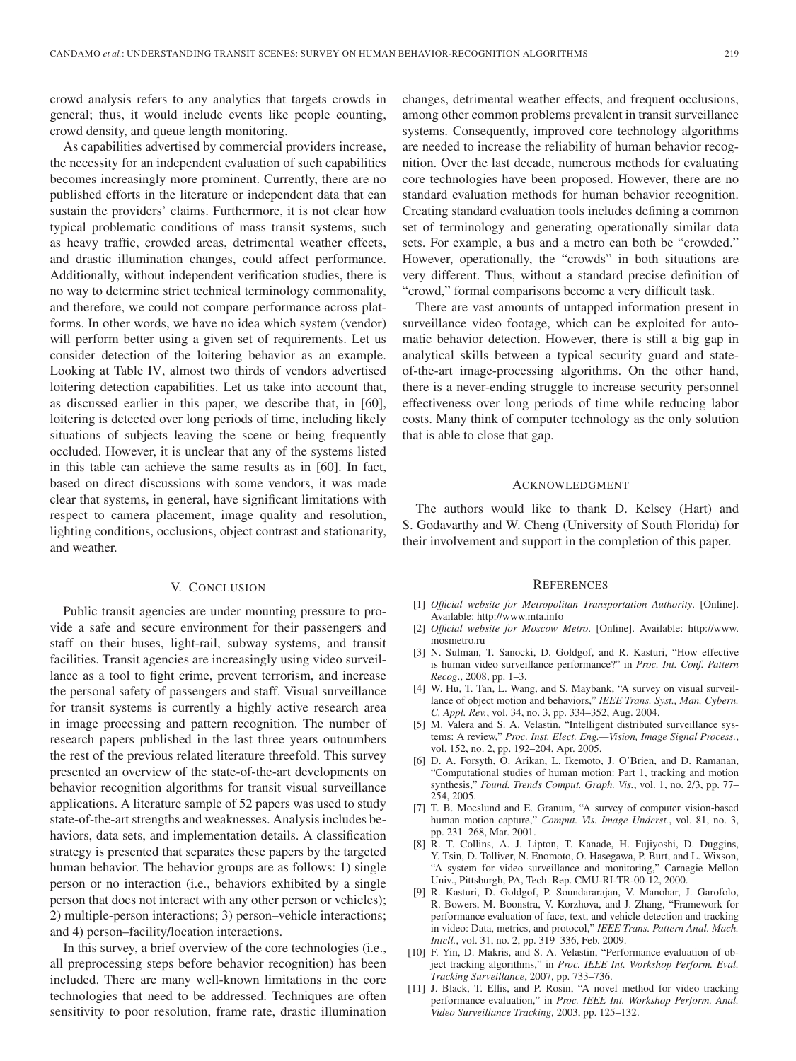crowd analysis refers to any analytics that targets crowds in general; thus, it would include events like people counting, crowd density, and queue length monitoring.

As capabilities advertised by commercial providers increase, the necessity for an independent evaluation of such capabilities becomes increasingly more prominent. Currently, there are no published efforts in the literature or independent data that can sustain the providers' claims. Furthermore, it is not clear how typical problematic conditions of mass transit systems, such as heavy traffic, crowded areas, detrimental weather effects, and drastic illumination changes, could affect performance. Additionally, without independent verification studies, there is no way to determine strict technical terminology commonality, and therefore, we could not compare performance across platforms. In other words, we have no idea which system (vendor) will perform better using a given set of requirements. Let us consider detection of the loitering behavior as an example. Looking at Table IV, almost two thirds of vendors advertised loitering detection capabilities. Let us take into account that, as discussed earlier in this paper, we describe that, in [60], loitering is detected over long periods of time, including likely situations of subjects leaving the scene or being frequently occluded. However, it is unclear that any of the systems listed in this table can achieve the same results as in [60]. In fact, based on direct discussions with some vendors, it was made clear that systems, in general, have significant limitations with respect to camera placement, image quality and resolution, lighting conditions, occlusions, object contrast and stationarity, and weather.

## V. CONCLUSION

Public transit agencies are under mounting pressure to provide a safe and secure environment for their passengers and staff on their buses, light-rail, subway systems, and transit facilities. Transit agencies are increasingly using video surveillance as a tool to fight crime, prevent terrorism, and increase the personal safety of passengers and staff. Visual surveillance for transit systems is currently a highly active research area in image processing and pattern recognition. The number of research papers published in the last three years outnumbers the rest of the previous related literature threefold. This survey presented an overview of the state-of-the-art developments on behavior recognition algorithms for transit visual surveillance applications. A literature sample of 52 papers was used to study state-of-the-art strengths and weaknesses. Analysis includes behaviors, data sets, and implementation details. A classification strategy is presented that separates these papers by the targeted human behavior. The behavior groups are as follows: 1) single person or no interaction (i.e., behaviors exhibited by a single person that does not interact with any other person or vehicles); 2) multiple-person interactions; 3) person–vehicle interactions; and 4) person–facility/location interactions.

In this survey, a brief overview of the core technologies (i.e., all preprocessing steps before behavior recognition) has been included. There are many well-known limitations in the core technologies that need to be addressed. Techniques are often sensitivity to poor resolution, frame rate, drastic illumination changes, detrimental weather effects, and frequent occlusions, among other common problems prevalent in transit surveillance systems. Consequently, improved core technology algorithms are needed to increase the reliability of human behavior recognition. Over the last decade, numerous methods for evaluating core technologies have been proposed. However, there are no standard evaluation methods for human behavior recognition. Creating standard evaluation tools includes defining a common set of terminology and generating operationally similar data sets. For example, a bus and a metro can both be "crowded." However, operationally, the "crowds" in both situations are very different. Thus, without a standard precise definition of "crowd," formal comparisons become a very difficult task.

There are vast amounts of untapped information present in surveillance video footage, which can be exploited for automatic behavior detection. However, there is still a big gap in analytical skills between a typical security guard and stateof-the-art image-processing algorithms. On the other hand, there is a never-ending struggle to increase security personnel effectiveness over long periods of time while reducing labor costs. Many think of computer technology as the only solution that is able to close that gap.

# ACKNOWLEDGMENT

The authors would like to thank D. Kelsey (Hart) and S. Godavarthy and W. Cheng (University of South Florida) for their involvement and support in the completion of this paper.

#### **REFERENCES**

- [1] *Official website for Metropolitan Transportation Authority*. [Online]. Available: http://www.mta.info
- [2] *Official website for Moscow Metro*. [Online]. Available: http://www. mosmetro.ru
- [3] N. Sulman, T. Sanocki, D. Goldgof, and R. Kasturi, "How effective is human video surveillance performance?" in *Proc. Int. Conf. Pattern Recog*., 2008, pp. 1–3.
- [4] W. Hu, T. Tan, L. Wang, and S. Maybank, "A survey on visual surveillance of object motion and behaviors," *IEEE Trans. Syst., Man, Cybern. C, Appl. Rev.*, vol. 34, no. 3, pp. 334–352, Aug. 2004.
- [5] M. Valera and S. A. Velastin, "Intelligent distributed surveillance systems: A review," *Proc. Inst. Elect. Eng.—Vision, Image Signal Process.*, vol. 152, no. 2, pp. 192–204, Apr. 2005.
- [6] D. A. Forsyth, O. Arikan, L. Ikemoto, J. O'Brien, and D. Ramanan, "Computational studies of human motion: Part 1, tracking and motion synthesis," *Found. Trends Comput. Graph. Vis.*, vol. 1, no. 2/3, pp. 77– 254, 2005.
- [7] T. B. Moeslund and E. Granum, "A survey of computer vision-based human motion capture," *Comput. Vis. Image Underst.*, vol. 81, no. 3, pp. 231–268, Mar. 2001.
- [8] R. T. Collins, A. J. Lipton, T. Kanade, H. Fujiyoshi, D. Duggins, Y. Tsin, D. Tolliver, N. Enomoto, O. Hasegawa, P. Burt, and L. Wixson, "A system for video surveillance and monitoring," Carnegie Mellon Univ., Pittsburgh, PA, Tech. Rep. CMU-RI-TR-00-12, 2000.
- [9] R. Kasturi, D. Goldgof, P. Soundararajan, V. Manohar, J. Garofolo, R. Bowers, M. Boonstra, V. Korzhova, and J. Zhang, "Framework for performance evaluation of face, text, and vehicle detection and tracking in video: Data, metrics, and protocol," *IEEE Trans. Pattern Anal. Mach. Intell.*, vol. 31, no. 2, pp. 319–336, Feb. 2009.
- [10] F. Yin, D. Makris, and S. A. Velastin, "Performance evaluation of object tracking algorithms," in *Proc. IEEE Int. Workshop Perform. Eval. Tracking Surveillance*, 2007, pp. 733–736.
- [11] J. Black, T. Ellis, and P. Rosin, "A novel method for video tracking performance evaluation," in *Proc. IEEE Int. Workshop Perform. Anal. Video Surveillance Tracking*, 2003, pp. 125–132.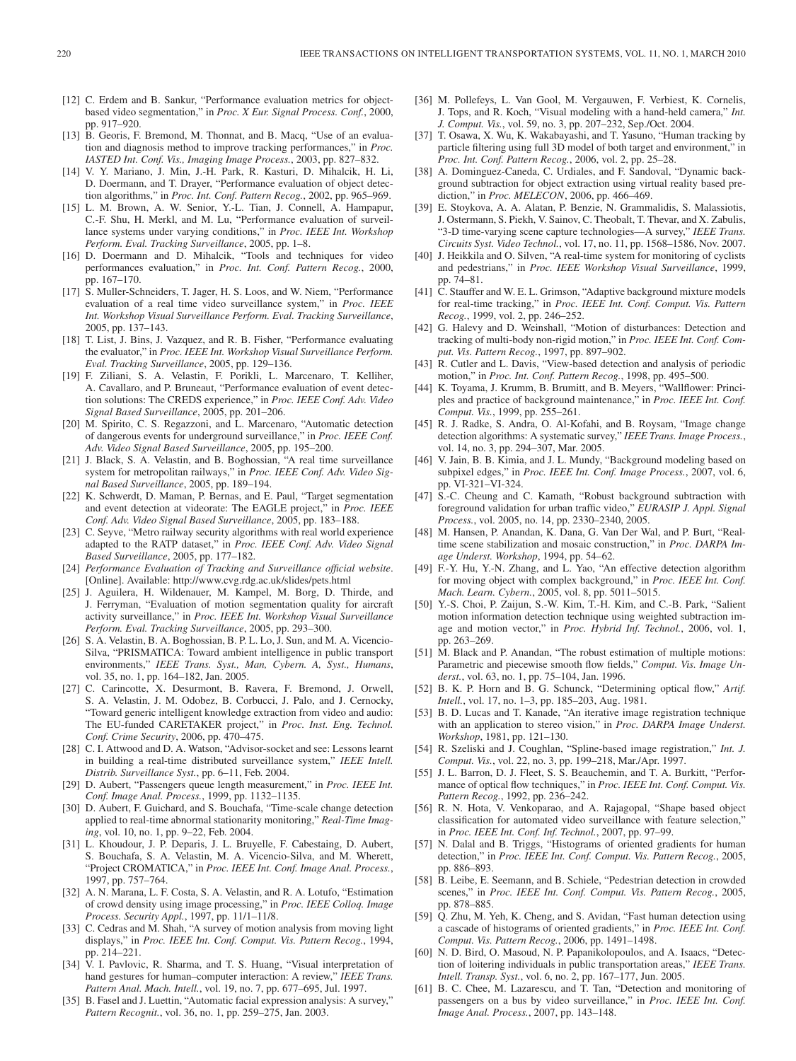- [12] C. Erdem and B. Sankur, "Performance evaluation metrics for objectbased video segmentation," in *Proc. X Eur. Signal Process. Conf.*, 2000, pp. 917–920.
- [13] B. Georis, F. Bremond, M. Thonnat, and B. Macq, "Use of an evaluation and diagnosis method to improve tracking performances," in *Proc. IASTED Int. Conf. Vis., Imaging Image Process.*, 2003, pp. 827–832.
- [14] V. Y. Mariano, J. Min, J.-H. Park, R. Kasturi, D. Mihalcik, H. Li, D. Doermann, and T. Drayer, "Performance evaluation of object detection algorithms," in *Proc. Int. Conf. Pattern Recog.*, 2002, pp. 965–969.
- [15] L. M. Brown, A. W. Senior, Y.-L. Tian, J. Connell, A. Hampapur, C.-F. Shu, H. Merkl, and M. Lu, "Performance evaluation of surveillance systems under varying conditions," in *Proc. IEEE Int. Workshop Perform. Eval. Tracking Surveillance*, 2005, pp. 1–8.
- [16] D. Doermann and D. Mihalcik, "Tools and techniques for video performances evaluation," in *Proc. Int. Conf. Pattern Recog.*, 2000, pp. 167–170.
- [17] S. Muller-Schneiders, T. Jager, H. S. Loos, and W. Niem, "Performance evaluation of a real time video surveillance system," in *Proc. IEEE Int. Workshop Visual Surveillance Perform. Eval. Tracking Surveillance*, 2005, pp. 137–143.
- [18] T. List, J. Bins, J. Vazquez, and R. B. Fisher, "Performance evaluating the evaluator," in *Proc. IEEE Int. Workshop Visual Surveillance Perform. Eval. Tracking Surveillance*, 2005, pp. 129–136.
- [19] F. Ziliani, S. A. Velastin, F. Porikli, L. Marcenaro, T. Kelliher, A. Cavallaro, and P. Bruneaut, "Performance evaluation of event detection solutions: The CREDS experience," in *Proc. IEEE Conf. Adv. Video Signal Based Surveillance*, 2005, pp. 201–206.
- [20] M. Spirito, C. S. Regazzoni, and L. Marcenaro, "Automatic detection of dangerous events for underground surveillance," in *Proc. IEEE Conf. Adv. Video Signal Based Surveillance*, 2005, pp. 195–200.
- [21] J. Black, S. A. Velastin, and B. Boghossian, "A real time surveillance system for metropolitan railways," in *Proc. IEEE Conf. Adv. Video Signal Based Surveillance*, 2005, pp. 189–194.
- [22] K. Schwerdt, D. Maman, P. Bernas, and E. Paul, "Target segmentation and event detection at videorate: The EAGLE project," in *Proc. IEEE Conf. Adv. Video Signal Based Surveillance*, 2005, pp. 183–188.
- [23] C. Seyve, "Metro railway security algorithms with real world experience adapted to the RATP dataset," in *Proc. IEEE Conf. Adv. Video Signal Based Surveillance*, 2005, pp. 177–182.
- [24] *Performance Evaluation of Tracking and Surveillance official website*. [Online]. Available: http://www.cvg.rdg.ac.uk/slides/pets.html
- [25] J. Aguilera, H. Wildenauer, M. Kampel, M. Borg, D. Thirde, and J. Ferryman, "Evaluation of motion segmentation quality for aircraft activity surveillance," in *Proc. IEEE Int. Workshop Visual Surveillance Perform. Eval. Tracking Surveillance*, 2005, pp. 293–300.
- [26] S. A. Velastin, B. A. Boghossian, B. P. L. Lo, J. Sun, and M. A. Vicencio-Silva, "PRISMATICA: Toward ambient intelligence in public transport environments," *IEEE Trans. Syst., Man, Cybern. A, Syst., Humans*, vol. 35, no. 1, pp. 164–182, Jan. 2005.
- [27] C. Carincotte, X. Desurmont, B. Ravera, F. Bremond, J. Orwell, S. A. Velastin, J. M. Odobez, B. Corbucci, J. Palo, and J. Cernocky, "Toward generic intelligent knowledge extraction from video and audio: The EU-funded CARETAKER project," in *Proc. Inst. Eng. Technol. Conf. Crime Security*, 2006, pp. 470–475.
- [28] C. I. Attwood and D. A. Watson, "Advisor-socket and see: Lessons learnt in building a real-time distributed surveillance system," *IEEE Intell. Distrib. Surveillance Syst.*, pp. 6–11, Feb. 2004.
- [29] D. Aubert, "Passengers queue length measurement," in *Proc. IEEE Int. Conf. Image Anal. Process.*, 1999, pp. 1132–1135.
- [30] D. Aubert, F. Guichard, and S. Bouchafa, "Time-scale change detection applied to real-time abnormal stationarity monitoring," *Real-Time Imaging*, vol. 10, no. 1, pp. 9–22, Feb. 2004.
- [31] L. Khoudour, J. P. Deparis, J. L. Bruyelle, F. Cabestaing, D. Aubert, S. Bouchafa, S. A. Velastin, M. A. Vicencio-Silva, and M. Wherett, "Project CROMATICA," in *Proc. IEEE Int. Conf. Image Anal. Process.*, 1997, pp. 757–764.
- [32] A. N. Marana, L. F. Costa, S. A. Velastin, and R. A. Lotufo, "Estimation of crowd density using image processing," in *Proc. IEEE Colloq. Image Process. Security Appl.*, 1997, pp. 11/1–11/8.
- [33] C. Cedras and M. Shah, "A survey of motion analysis from moving light displays," in *Proc. IEEE Int. Conf. Comput. Vis. Pattern Recog.*, 1994, pp. 214–221.
- [34] V. I. Pavlovic, R. Sharma, and T. S. Huang, "Visual interpretation of hand gestures for human–computer interaction: A review," *IEEE Trans. Pattern Anal. Mach. Intell.*, vol. 19, no. 7, pp. 677–695, Jul. 1997.
- [35] B. Fasel and J. Luettin, "Automatic facial expression analysis: A survey," *Pattern Recognit.*, vol. 36, no. 1, pp. 259–275, Jan. 2003.
- [36] M. Pollefeys, L. Van Gool, M. Vergauwen, F. Verbiest, K. Cornelis, J. Tops, and R. Koch, "Visual modeling with a hand-held camera," *Int. J. Comput. Vis.*, vol. 59, no. 3, pp. 207–232, Sep./Oct. 2004.
- [37] T. Osawa, X. Wu, K. Wakabayashi, and T. Yasuno, "Human tracking by particle filtering using full 3D model of both target and environment," in *Proc. Int. Conf. Pattern Recog.*, 2006, vol. 2, pp. 25–28.
- [38] A. Dominguez-Caneda, C. Urdiales, and F. Sandoval, "Dynamic background subtraction for object extraction using virtual reality based prediction," in *Proc. MELECON*, 2006, pp. 466–469.
- [39] E. Stoykova, A. A. Alatan, P. Benzie, N. Grammalidis, S. Malassiotis, J. Ostermann, S. Piekh, V. Sainov, C. Theobalt, T. Thevar, and X. Zabulis, "3-D time-varying scene capture technologies—A survey," *IEEE Trans. Circuits Syst. Video Technol.*, vol. 17, no. 11, pp. 1568–1586, Nov. 2007.
- [40] J. Heikkila and O. Silven, "A real-time system for monitoring of cyclists and pedestrians," in *Proc. IEEE Workshop Visual Surveillance*, 1999, pp. 74–81.
- [41] C. Stauffer and W. E. L. Grimson, "Adaptive background mixture models for real-time tracking," in *Proc. IEEE Int. Conf. Comput. Vis. Pattern Recog.*, 1999, vol. 2, pp. 246–252.
- [42] G. Halevy and D. Weinshall, "Motion of disturbances: Detection and tracking of multi-body non-rigid motion," in *Proc. IEEE Int. Conf. Comput. Vis. Pattern Recog.*, 1997, pp. 897–902.
- [43] R. Cutler and L. Davis, "View-based detection and analysis of periodic motion," in *Proc. Int. Conf. Pattern Recog.*, 1998, pp. 495–500.
- [44] K. Toyama, J. Krumm, B. Brumitt, and B. Meyers, "Wallflower: Principles and practice of background maintenance," in *Proc. IEEE Int. Conf. Comput. Vis.*, 1999, pp. 255–261.
- [45] R. J. Radke, S. Andra, O. Al-Kofahi, and B. Roysam, "Image change detection algorithms: A systematic survey," *IEEE Trans. Image Process.*, vol. 14, no. 3, pp. 294–307, Mar. 2005.
- [46] V. Jain, B. B. Kimia, and J. L. Mundy, "Background modeling based on subpixel edges," in *Proc. IEEE Int. Conf. Image Process.*, 2007, vol. 6, pp. VI-321–VI-324.
- [47] S.-C. Cheung and C. Kamath, "Robust background subtraction with foreground validation for urban traffic video," *EURASIP J. Appl. Signal Process.*, vol. 2005, no. 14, pp. 2330–2340, 2005.
- [48] M. Hansen, P. Anandan, K. Dana, G. Van Der Wal, and P. Burt, "Realtime scene stabilization and mosaic construction," in *Proc. DARPA Image Underst. Workshop*, 1994, pp. 54–62.
- [49] F.-Y. Hu, Y.-N. Zhang, and L. Yao, "An effective detection algorithm for moving object with complex background," in *Proc. IEEE Int. Conf. Mach. Learn. Cybern.*, 2005, vol. 8, pp. 5011–5015.
- [50] Y.-S. Choi, P. Zaijun, S.-W. Kim, T.-H. Kim, and C.-B. Park, "Salient motion information detection technique using weighted subtraction image and motion vector," in *Proc. Hybrid Inf. Technol.*, 2006, vol. 1, pp. 263–269.
- [51] M. Black and P. Anandan, "The robust estimation of multiple motions: Parametric and piecewise smooth flow fields," *Comput. Vis. Image Underst.*, vol. 63, no. 1, pp. 75–104, Jan. 1996.
- [52] B. K. P. Horn and B. G. Schunck, "Determining optical flow," *Artif. Intell.*, vol. 17, no. 1–3, pp. 185–203, Aug. 1981.
- [53] B. D. Lucas and T. Kanade, "An iterative image registration technique with an application to stereo vision," in *Proc. DARPA Image Underst. Workshop*, 1981, pp. 121–130.
- [54] R. Szeliski and J. Coughlan, "Spline-based image registration," *Int. J. Comput. Vis.*, vol. 22, no. 3, pp. 199–218, Mar./Apr. 1997.
- [55] J. L. Barron, D. J. Fleet, S. S. Beauchemin, and T. A. Burkitt, "Performance of optical flow techniques," in *Proc. IEEE Int. Conf. Comput. Vis. Pattern Recog.*, 1992, pp. 236–242.
- [56] R. N. Hota, V. Venkoparao, and A. Rajagopal, "Shape based object classification for automated video surveillance with feature selection," in *Proc. IEEE Int. Conf. Inf. Technol.*, 2007, pp. 97–99.
- [57] N. Dalal and B. Triggs, "Histograms of oriented gradients for human detection," in *Proc. IEEE Int. Conf. Comput. Vis. Pattern Recog.*, 2005, pp. 886–893.
- [58] B. Leibe, E. Seemann, and B. Schiele, "Pedestrian detection in crowded scenes," in *Proc. IEEE Int. Conf. Comput. Vis. Pattern Recog.*, 2005, pp. 878–885.
- [59] Q. Zhu, M. Yeh, K. Cheng, and S. Avidan, "Fast human detection using a cascade of histograms of oriented gradients," in *Proc. IEEE Int. Conf. Comput. Vis. Pattern Recog.*, 2006, pp. 1491–1498.
- [60] N. D. Bird, O. Masoud, N. P. Papanikolopoulos, and A. Isaacs, "Detection of loitering individuals in public transportation areas," *IEEE Trans. Intell. Transp. Syst.*, vol. 6, no. 2, pp. 167–177, Jun. 2005.
- [61] B. C. Chee, M. Lazarescu, and T. Tan, "Detection and monitoring of passengers on a bus by video surveillance," in *Proc. IEEE Int. Conf. Image Anal. Process.*, 2007, pp. 143–148.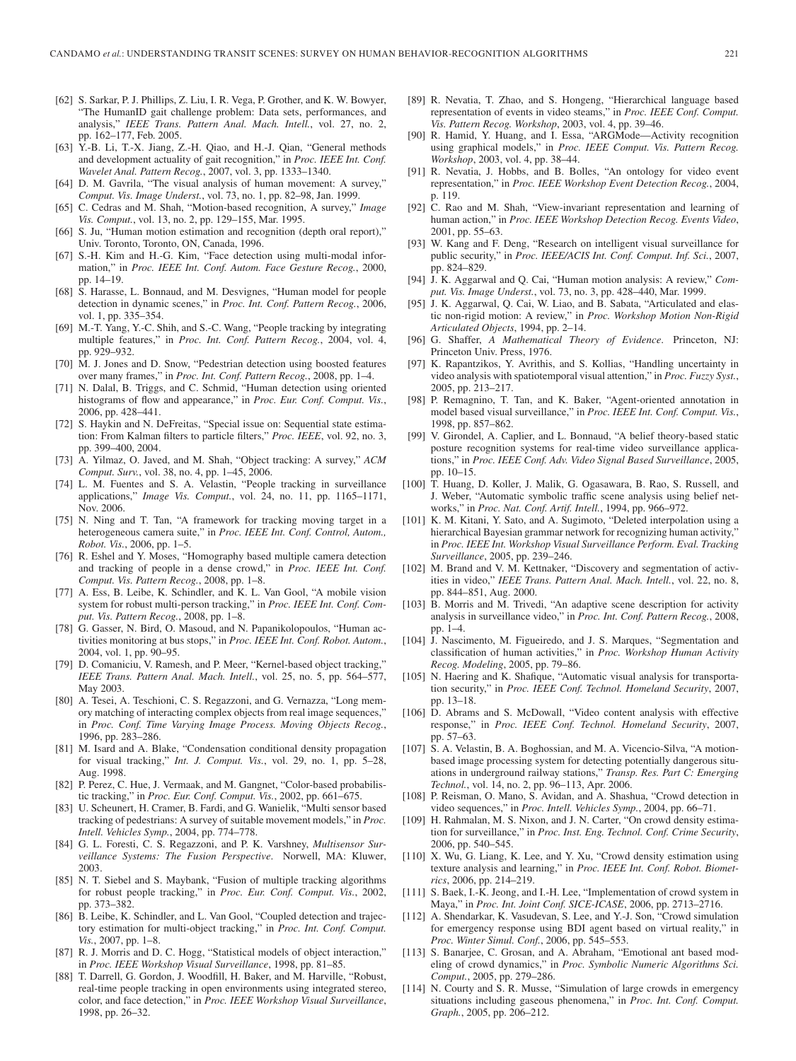- [62] S. Sarkar, P. J. Phillips, Z. Liu, I. R. Vega, P. Grother, and K. W. Bowyer, "The HumanID gait challenge problem: Data sets, performances, and analysis," *IEEE Trans. Pattern Anal. Mach. Intell.*, vol. 27, no. 2, pp. 162–177, Feb. 2005.
- [63] Y.-B. Li, T.-X. Jiang, Z.-H. Qiao, and H.-J. Qian, "General methods and development actuality of gait recognition," in *Proc. IEEE Int. Conf. Wavelet Anal. Pattern Recog.*, 2007, vol. 3, pp. 1333–1340.
- [64] D. M. Gavrila, "The visual analysis of human movement: A survey," *Comput. Vis. Image Underst.*, vol. 73, no. 1, pp. 82–98, Jan. 1999.
- [65] C. Cedras and M. Shah, "Motion-based recognition, A survey," *Image Vis. Comput.*, vol. 13, no. 2, pp. 129–155, Mar. 1995.
- [66] S. Ju, "Human motion estimation and recognition (depth oral report)," Univ. Toronto, Toronto, ON, Canada, 1996.
- [67] S.-H. Kim and H.-G. Kim, "Face detection using multi-modal information," in *Proc. IEEE Int. Conf. Autom. Face Gesture Recog.*, 2000, pp. 14–19.
- [68] S. Harasse, L. Bonnaud, and M. Desvignes, "Human model for people detection in dynamic scenes," in *Proc. Int. Conf. Pattern Recog.*, 2006, vol. 1, pp. 335–354.
- [69] M.-T. Yang, Y.-C. Shih, and S.-C. Wang, "People tracking by integrating multiple features," in *Proc. Int. Conf. Pattern Recog.*, 2004, vol. 4, pp. 929–932.
- [70] M. J. Jones and D. Snow, "Pedestrian detection using boosted features over many frames," in *Proc. Int. Conf. Pattern Recog.*, 2008, pp. 1–4.
- [71] N. Dalal, B. Triggs, and C. Schmid, "Human detection using oriented histograms of flow and appearance," in *Proc. Eur. Conf. Comput. Vis.*, 2006, pp. 428–441.
- [72] S. Haykin and N. DeFreitas, "Special issue on: Sequential state estimation: From Kalman filters to particle filters," *Proc. IEEE*, vol. 92, no. 3, pp. 399–400, 2004.
- [73] A. Yilmaz, O. Javed, and M. Shah, "Object tracking: A survey," *ACM Comput. Surv.*, vol. 38, no. 4, pp. 1–45, 2006.
- [74] L. M. Fuentes and S. A. Velastin, "People tracking in surveillance applications," *Image Vis. Comput.*, vol. 24, no. 11, pp. 1165–1171, Nov. 2006.
- [75] N. Ning and T. Tan, "A framework for tracking moving target in a heterogeneous camera suite," in *Proc. IEEE Int. Conf. Control, Autom., Robot. Vis.*, 2006, pp. 1–5.
- [76] R. Eshel and Y. Moses, "Homography based multiple camera detection and tracking of people in a dense crowd," in *Proc. IEEE Int. Conf. Comput. Vis. Pattern Recog.*, 2008, pp. 1–8.
- [77] A. Ess, B. Leibe, K. Schindler, and K. L. Van Gool, "A mobile vision system for robust multi-person tracking," in *Proc. IEEE Int. Conf. Comput. Vis. Pattern Recog.*, 2008, pp. 1–8.
- [78] G. Gasser, N. Bird, O. Masoud, and N. Papanikolopoulos, "Human activities monitoring at bus stops," in *Proc. IEEE Int. Conf. Robot. Autom.*, 2004, vol. 1, pp. 90–95.
- [79] D. Comaniciu, V. Ramesh, and P. Meer, "Kernel-based object tracking," *IEEE Trans. Pattern Anal. Mach. Intell.*, vol. 25, no. 5, pp. 564–577, May 2003.
- [80] A. Tesei, A. Teschioni, C. S. Regazzoni, and G. Vernazza, "Long memory matching of interacting complex objects from real image sequences," in *Proc. Conf. Time Varying Image Process. Moving Objects Recog.*, 1996, pp. 283–286.
- [81] M. Isard and A. Blake, "Condensation conditional density propagation for visual tracking," *Int. J. Comput. Vis.*, vol. 29, no. 1, pp. 5–28, Aug. 1998.
- [82] P. Perez, C. Hue, J. Vermaak, and M. Gangnet, "Color-based probabilistic tracking," in *Proc. Eur. Conf. Comput. Vis.*, 2002, pp. 661–675.
- [83] U. Scheunert, H. Cramer, B. Fardi, and G. Wanielik, "Multi sensor based tracking of pedestrians: A survey of suitable movement models," in *Proc. Intell. Vehicles Symp.*, 2004, pp. 774–778.
- [84] G. L. Foresti, C. S. Regazzoni, and P. K. Varshney, *Multisensor Surveillance Systems: The Fusion Perspective*. Norwell, MA: Kluwer, 2003.
- [85] N. T. Siebel and S. Maybank, "Fusion of multiple tracking algorithms for robust people tracking," in *Proc. Eur. Conf. Comput. Vis.*, 2002, pp. 373–382.
- [86] B. Leibe, K. Schindler, and L. Van Gool, "Coupled detection and trajectory estimation for multi-object tracking," in *Proc. Int. Conf. Comput. Vis.*, 2007, pp. 1–8.
- [87] R. J. Morris and D. C. Hogg, "Statistical models of object interaction," in *Proc. IEEE Workshop Visual Surveillance*, 1998, pp. 81–85.
- [88] T. Darrell, G. Gordon, J. Woodfill, H. Baker, and M. Harville, "Robust, real-time people tracking in open environments using integrated stereo, color, and face detection," in *Proc. IEEE Workshop Visual Surveillance*, 1998, pp. 26–32.
- [89] R. Nevatia, T. Zhao, and S. Hongeng, "Hierarchical language based representation of events in video steams," in *Proc. IEEE Conf. Comput. Vis. Pattern Recog. Workshop*, 2003, vol. 4, pp. 39–46.
- [90] R. Hamid, Y. Huang, and I. Essa, "ARGMode—Activity recognition using graphical models," in *Proc. IEEE Comput. Vis. Pattern Recog. Workshop*, 2003, vol. 4, pp. 38–44.
- [91] R. Nevatia, J. Hobbs, and B. Bolles, "An ontology for video event representation," in *Proc. IEEE Workshop Event Detection Recog.*, 2004, p. 119.
- [92] C. Rao and M. Shah, "View-invariant representation and learning of human action," in *Proc. IEEE Workshop Detection Recog. Events Video*, 2001, pp. 55–63.
- [93] W. Kang and F. Deng, "Research on intelligent visual surveillance for public security," in *Proc. IEEE/ACIS Int. Conf. Comput. Inf. Sci.*, 2007, pp. 824–829.
- [94] J. K. Aggarwal and Q. Cai, "Human motion analysis: A review," *Comput. Vis. Image Underst.*, vol. 73, no. 3, pp. 428–440, Mar. 1999.
- [95] J. K. Aggarwal, Q. Cai, W. Liao, and B. Sabata, "Articulated and elastic non-rigid motion: A review," in *Proc. Workshop Motion Non-Rigid Articulated Objects*, 1994, pp. 2–14.
- [96] G. Shaffer, *A Mathematical Theory of Evidence*. Princeton, NJ: Princeton Univ. Press, 1976.
- [97] K. Rapantzikos, Y. Avrithis, and S. Kollias, "Handling uncertainty in video analysis with spatiotemporal visual attention," in *Proc. Fuzzy Syst.*, 2005, pp. 213–217.
- [98] P. Remagnino, T. Tan, and K. Baker, "Agent-oriented annotation in model based visual surveillance," in *Proc. IEEE Int. Conf. Comput. Vis.*, 1998, pp. 857–862.
- [99] V. Girondel, A. Caplier, and L. Bonnaud, "A belief theory-based static posture recognition systems for real-time video surveillance applications," in *Proc. IEEE Conf. Adv. Video Signal Based Surveillance*, 2005, pp. 10–15.
- [100] T. Huang, D. Koller, J. Malik, G. Ogasawara, B. Rao, S. Russell, and J. Weber, "Automatic symbolic traffic scene analysis using belief networks," in *Proc. Nat. Conf. Artif. Intell.*, 1994, pp. 966–972.
- [101] K. M. Kitani, Y. Sato, and A. Sugimoto, "Deleted interpolation using a hierarchical Bayesian grammar network for recognizing human activity," in *Proc. IEEE Int. Workshop Visual Surveillance Perform. Eval. Tracking Surveillance*, 2005, pp. 239–246.
- [102] M. Brand and V. M. Kettnaker, "Discovery and segmentation of activities in video," *IEEE Trans. Pattern Anal. Mach. Intell.*, vol. 22, no. 8, pp. 844–851, Aug. 2000.
- [103] B. Morris and M. Trivedi, "An adaptive scene description for activity analysis in surveillance video," in *Proc. Int. Conf. Pattern Recog.*, 2008, pp. 1–4.
- [104] J. Nascimento, M. Figueiredo, and J. S. Marques, "Segmentation and classification of human activities," in *Proc. Workshop Human Activity Recog. Modeling*, 2005, pp. 79–86.
- [105] N. Haering and K. Shafique, "Automatic visual analysis for transportation security," in *Proc. IEEE Conf. Technol. Homeland Security*, 2007, pp. 13–18.
- [106] D. Abrams and S. McDowall, "Video content analysis with effective response," in *Proc. IEEE Conf. Technol. Homeland Security*, 2007, pp. 57–63.
- [107] S. A. Velastin, B. A. Boghossian, and M. A. Vicencio-Silva, "A motionbased image processing system for detecting potentially dangerous situations in underground railway stations," *Transp. Res. Part C: Emerging Technol.*, vol. 14, no. 2, pp. 96–113, Apr. 2006.
- [108] P. Reisman, O. Mano, S. Avidan, and A. Shashua, "Crowd detection in video sequences," in *Proc. Intell. Vehicles Symp.*, 2004, pp. 66–71.
- [109] H. Rahmalan, M. S. Nixon, and J. N. Carter, "On crowd density estimation for surveillance," in *Proc. Inst. Eng. Technol. Conf. Crime Security*, 2006, pp. 540–545.
- [110] X. Wu, G. Liang, K. Lee, and Y. Xu, "Crowd density estimation using texture analysis and learning," in *Proc. IEEE Int. Conf. Robot. Biometrics*, 2006, pp. 214–219.
- [111] S. Baek, I.-K. Jeong, and I.-H. Lee, "Implementation of crowd system in Maya," in *Proc. Int. Joint Conf. SICE-ICASE*, 2006, pp. 2713–2716.
- [112] A. Shendarkar, K. Vasudevan, S. Lee, and Y.-J. Son, "Crowd simulation for emergency response using BDI agent based on virtual reality," in *Proc. Winter Simul. Conf.*, 2006, pp. 545–553.
- [113] S. Banarjee, C. Grosan, and A. Abraham, "Emotional ant based modeling of crowd dynamics," in *Proc. Symbolic Numeric Algorithms Sci. Comput.*, 2005, pp. 279–286.
- [114] N. Courty and S. R. Musse, "Simulation of large crowds in emergency situations including gaseous phenomena," in *Proc. Int. Conf. Comput. Graph.*, 2005, pp. 206–212.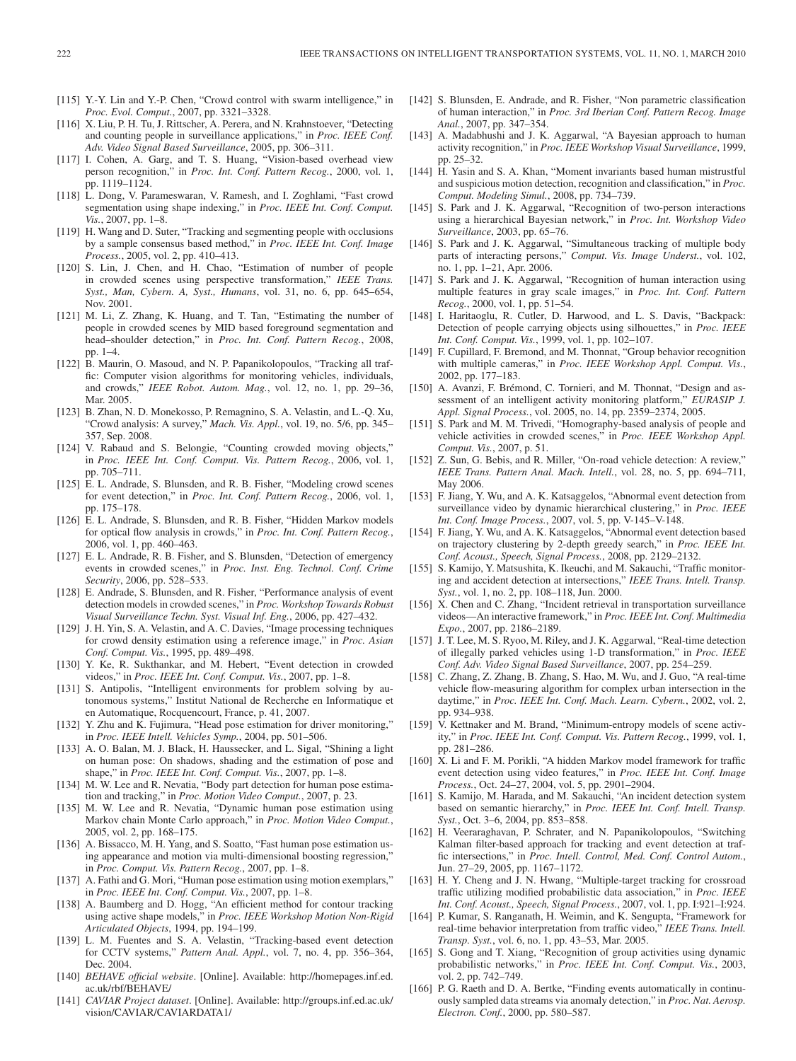- [115] Y.-Y. Lin and Y.-P. Chen, "Crowd control with swarm intelligence," in *Proc. Evol. Comput.*, 2007, pp. 3321–3328.
- [116] X. Liu, P. H. Tu, J. Rittscher, A. Perera, and N. Krahnstoever, "Detecting and counting people in surveillance applications," in *Proc. IEEE Conf. Adv. Video Signal Based Surveillance*, 2005, pp. 306–311.
- [117] I. Cohen, A. Garg, and T. S. Huang, "Vision-based overhead view person recognition," in *Proc. Int. Conf. Pattern Recog.*, 2000, vol. 1, pp. 1119–1124.
- [118] L. Dong, V. Parameswaran, V. Ramesh, and I. Zoghlami, "Fast crowd segmentation using shape indexing," in *Proc. IEEE Int. Conf. Comput. Vis.*, 2007, pp. 1–8.
- [119] H. Wang and D. Suter, "Tracking and segmenting people with occlusions by a sample consensus based method," in *Proc. IEEE Int. Conf. Image Process.*, 2005, vol. 2, pp. 410–413.
- [120] S. Lin, J. Chen, and H. Chao, "Estimation of number of people in crowded scenes using perspective transformation," *IEEE Trans. Syst., Man, Cybern. A, Syst., Humans*, vol. 31, no. 6, pp. 645–654, Nov. 2001.
- [121] M. Li, Z. Zhang, K. Huang, and T. Tan, "Estimating the number of people in crowded scenes by MID based foreground segmentation and head–shoulder detection," in *Proc. Int. Conf. Pattern Recog.*, 2008, pp. 1–4.
- [122] B. Maurin, O. Masoud, and N. P. Papanikolopoulos, "Tracking all traffic: Computer vision algorithms for monitoring vehicles, individuals, and crowds," *IEEE Robot. Autom. Mag.*, vol. 12, no. 1, pp. 29–36, Mar. 2005.
- [123] B. Zhan, N. D. Monekosso, P. Remagnino, S. A. Velastin, and L.-Q. Xu, "Crowd analysis: A survey," *Mach. Vis. Appl.*, vol. 19, no. 5/6, pp. 345– 357, Sep. 2008.
- [124] V. Rabaud and S. Belongie, "Counting crowded moving objects," in *Proc. IEEE Int. Conf. Comput. Vis. Pattern Recog.*, 2006, vol. 1, pp. 705–711.
- [125] E. L. Andrade, S. Blunsden, and R. B. Fisher, "Modeling crowd scenes for event detection," in *Proc. Int. Conf. Pattern Recog.*, 2006, vol. 1, pp. 175–178.
- [126] E. L. Andrade, S. Blunsden, and R. B. Fisher, "Hidden Markov models for optical flow analysis in crowds," in *Proc. Int. Conf. Pattern Recog.*, 2006, vol. 1, pp. 460–463.
- [127] E. L. Andrade, R. B. Fisher, and S. Blunsden, "Detection of emergency events in crowded scenes," in *Proc. Inst. Eng. Technol. Conf. Crime Security*, 2006, pp. 528–533.
- [128] E. Andrade, S. Blunsden, and R. Fisher, "Performance analysis of event detection models in crowded scenes," in *Proc. Workshop Towards Robust Visual Surveillance Techn. Syst. Visual Inf. Eng.*, 2006, pp. 427–432.
- [129] J. H. Yin, S. A. Velastin, and A. C. Davies, "Image processing techniques for crowd density estimation using a reference image," in *Proc. Asian Conf. Comput. Vis.*, 1995, pp. 489–498.
- [130] Y. Ke, R. Sukthankar, and M. Hebert, "Event detection in crowded videos," in *Proc. IEEE Int. Conf. Comput. Vis.*, 2007, pp. 1–8.
- [131] S. Antipolis, "Intelligent environments for problem solving by autonomous systems," Institut National de Recherche en Informatique et en Automatique, Rocquencourt, France, p. 41, 2007.
- [132] Y. Zhu and K. Fujimura, "Head pose estimation for driver monitoring," in *Proc. IEEE Intell. Vehicles Symp.*, 2004, pp. 501–506.
- [133] A. O. Balan, M. J. Black, H. Haussecker, and L. Sigal, "Shining a light on human pose: On shadows, shading and the estimation of pose and shape," in *Proc. IEEE Int. Conf. Comput. Vis.*, 2007, pp. 1–8.
- [134] M. W. Lee and R. Nevatia, "Body part detection for human pose estimation and tracking," in *Proc. Motion Video Comput.*, 2007, p. 23.
- [135] M. W. Lee and R. Nevatia, "Dynamic human pose estimation using Markov chain Monte Carlo approach," in *Proc. Motion Video Comput.*, 2005, vol. 2, pp. 168–175.
- [136] A. Bissacco, M. H. Yang, and S. Soatto, "Fast human pose estimation using appearance and motion via multi-dimensional boosting regression," in *Proc. Comput. Vis. Pattern Recog.*, 2007, pp. 1–8.
- [137] A. Fathi and G. Mori, "Human pose estimation using motion exemplars," in *Proc. IEEE Int. Conf. Comput. Vis.*, 2007, pp. 1–8.
- [138] A. Baumberg and D. Hogg, "An efficient method for contour tracking using active shape models," in *Proc. IEEE Workshop Motion Non-Rigid Articulated Objects*, 1994, pp. 194–199.
- [139] L. M. Fuentes and S. A. Velastin, "Tracking-based event detection for CCTV systems," *Pattern Anal. Appl.*, vol. 7, no. 4, pp. 356–364, Dec. 2004.
- [140] *BEHAVE official website*. [Online]. Available: http://homepages.inf.ed. ac.uk/rbf/BEHAVE/
- [141] *CAVIAR Project dataset*. [Online]. Available: http://groups.inf.ed.ac.uk/ vision/CAVIAR/CAVIARDATA1/
- [142] S. Blunsden, E. Andrade, and R. Fisher, "Non parametric classification of human interaction," in *Proc. 3rd Iberian Conf. Pattern Recog. Image Anal.*, 2007, pp. 347–354.
- [143] A. Madabhushi and J. K. Aggarwal, "A Bayesian approach to human activity recognition," in *Proc. IEEE Workshop Visual Surveillance*, 1999, pp. 25–32.
- [144] H. Yasin and S. A. Khan, "Moment invariants based human mistrustful and suspicious motion detection, recognition and classification," in *Proc. Comput. Modeling Simul.*, 2008, pp. 734–739.
- [145] S. Park and J. K. Aggarwal, "Recognition of two-person interactions using a hierarchical Bayesian network," in *Proc. Int. Workshop Video Surveillance*, 2003, pp. 65–76.
- [146] S. Park and J. K. Aggarwal, "Simultaneous tracking of multiple body parts of interacting persons," *Comput. Vis. Image Underst.*, vol. 102, no. 1, pp. 1–21, Apr. 2006.
- [147] S. Park and J. K. Aggarwal, "Recognition of human interaction using multiple features in gray scale images," in *Proc. Int. Conf. Pattern Recog.*, 2000, vol. 1, pp. 51–54.
- [148] I. Haritaoglu, R. Cutler, D. Harwood, and L. S. Davis, "Backpack: Detection of people carrying objects using silhouettes," in *Proc. IEEE Int. Conf. Comput. Vis.*, 1999, vol. 1, pp. 102–107.
- [149] F. Cupillard, F. Bremond, and M. Thonnat, "Group behavior recognition with multiple cameras," in *Proc. IEEE Workshop Appl. Comput. Vis.*, 2002, pp. 177–183.
- [150] A. Avanzi, F. Brémond, C. Tornieri, and M. Thonnat, "Design and assessment of an intelligent activity monitoring platform," *EURASIP J. Appl. Signal Process.*, vol. 2005, no. 14, pp. 2359–2374, 2005.
- [151] S. Park and M. M. Trivedi, "Homography-based analysis of people and vehicle activities in crowded scenes," in *Proc. IEEE Workshop Appl. Comput. Vis.*, 2007, p. 51.
- [152] Z. Sun, G. Bebis, and R. Miller, "On-road vehicle detection: A review," *IEEE Trans. Pattern Anal. Mach. Intell.*, vol. 28, no. 5, pp. 694–711, May 2006.
- [153] F. Jiang, Y. Wu, and A. K. Katsaggelos, "Abnormal event detection from surveillance video by dynamic hierarchical clustering," in *Proc. IEEE Int. Conf. Image Process.*, 2007, vol. 5, pp. V-145–V-148.
- [154] F. Jiang, Y. Wu, and A. K. Katsaggelos, "Abnormal event detection based on trajectory clustering by 2-depth greedy search," in *Proc. IEEE Int. Conf. Acoust., Speech, Signal Process.*, 2008, pp. 2129–2132.
- [155] S. Kamijo, Y. Matsushita, K. Ikeuchi, and M. Sakauchi, "Traffic monitoring and accident detection at intersections," *IEEE Trans. Intell. Transp. Syst.*, vol. 1, no. 2, pp. 108–118, Jun. 2000.
- [156] X. Chen and C. Zhang, "Incident retrieval in transportation surveillance videos—An interactive framework," in *Proc. IEEE Int. Conf. Multimedia Expo.*, 2007, pp. 2186–2189.
- [157] J. T. Lee, M. S. Ryoo, M. Riley, and J. K. Aggarwal, "Real-time detection of illegally parked vehicles using 1-D transformation," in *Proc. IEEE Conf. Adv. Video Signal Based Surveillance*, 2007, pp. 254–259.
- [158] C. Zhang, Z. Zhang, B. Zhang, S. Hao, M. Wu, and J. Guo, "A real-time vehicle flow-measuring algorithm for complex urban intersection in the daytime," in *Proc. IEEE Int. Conf. Mach. Learn. Cybern.*, 2002, vol. 2, pp. 934–938.
- [159] V. Kettnaker and M. Brand, "Minimum-entropy models of scene activity," in *Proc. IEEE Int. Conf. Comput. Vis. Pattern Recog.*, 1999, vol. 1, pp. 281–286.
- [160] X. Li and F. M. Porikli, "A hidden Markov model framework for traffic event detection using video features," in *Proc. IEEE Int. Conf. Image Process.*, Oct. 24–27, 2004, vol. 5, pp. 2901–2904.
- [161] S. Kamijo, M. Harada, and M. Sakauchi, "An incident detection system based on semantic hierarchy," in *Proc. IEEE Int. Conf. Intell. Transp. Syst.*, Oct. 3–6, 2004, pp. 853–858.
- [162] H. Veeraraghavan, P. Schrater, and N. Papanikolopoulos, "Switching Kalman filter-based approach for tracking and event detection at traffic intersections," in *Proc. Intell. Control, Med. Conf. Control Autom.*, Jun. 27–29, 2005, pp. 1167–1172.
- [163] H. Y. Cheng and J. N. Hwang, "Multiple-target tracking for crossroad traffic utilizing modified probabilistic data association," in *Proc. IEEE Int. Conf. Acoust., Speech, Signal Process.*, 2007, vol. 1, pp. I:921–I:924.
- [164] P. Kumar, S. Ranganath, H. Weimin, and K. Sengupta, "Framework for real-time behavior interpretation from traffic video," *IEEE Trans. Intell. Transp. Syst.*, vol. 6, no. 1, pp. 43–53, Mar. 2005.
- [165] S. Gong and T. Xiang, "Recognition of group activities using dynamic probabilistic networks," in *Proc. IEEE Int. Conf. Comput. Vis.*, 2003, vol. 2, pp. 742–749.
- [166] P. G. Raeth and D. A. Bertke, "Finding events automatically in continuously sampled data streams via anomaly detection," in *Proc. Nat. Aerosp. Electron. Conf.*, 2000, pp. 580–587.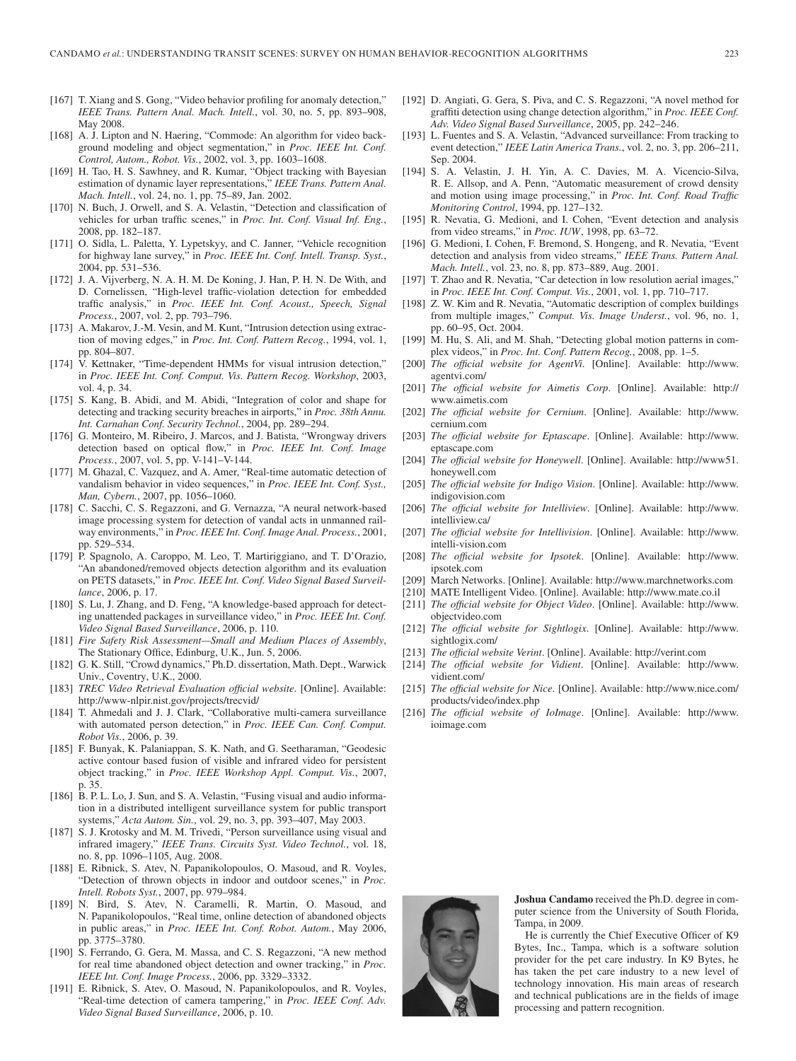- [167] T. Xiang and S. Gong, "Video behavior profiling for anomaly detection," *IEEE Trans. Pattern Anal. Mach. Intell.*, vol. 30, no. 5, pp. 893–908, May 2008.
- [168] A. J. Lipton and N. Haering, "Commode: An algorithm for video background modeling and object segmentation," in *Proc. IEEE Int. Conf. Control, Autom., Robot. Vis.*, 2002, vol. 3, pp. 1603–1608.
- [169] H. Tao, H. S. Sawhney, and R. Kumar, "Object tracking with Bayesian estimation of dynamic layer representations," *IEEE Trans. Pattern Anal. Mach. Intell.*, vol. 24, no. 1, pp. 75–89, Jan. 2002.
- [170] N. Buch, J. Orwell, and S. A. Velastin, "Detection and classification of vehicles for urban traffic scenes," in *Proc. Int. Conf. Visual Inf. Eng.*, 2008, pp. 182–187.
- [171] O. Sidla, L. Paletta, Y. Lypetskyy, and C. Janner, "Vehicle recognition for highway lane survey," in *Proc. IEEE Int. Conf. Intell. Transp. Syst.*, 2004, pp. 531–536.
- [172] J. A. Vijverberg, N. A. H. M. De Koning, J. Han, P. H. N. De With, and D. Cornelissen, "High-level traffic-violation detection for embedded traffic analysis," in *Proc. IEEE Int. Conf. Acoust., Speech, Signal Process.*, 2007, vol. 2, pp. 793–796.
- [173] A. Makarov, J.-M. Vesin, and M. Kunt, "Intrusion detection using extraction of moving edges," in *Proc. Int. Conf. Pattern Recog.*, 1994, vol. 1, pp. 804–807.
- [174] V. Kettnaker, "Time-dependent HMMs for visual intrusion detection," in *Proc. IEEE Int. Conf. Comput. Vis. Pattern Recog. Workshop*, 2003, vol. 4, p. 34.
- [175] S. Kang, B. Abidi, and M. Abidi, "Integration of color and shape for detecting and tracking security breaches in airports," in *Proc. 38th Annu. Int. Carnahan Conf. Security Technol.*, 2004, pp. 289–294.
- [176] G. Monteiro, M. Ribeiro, J. Marcos, and J. Batista, "Wrongway drivers detection based on optical flow," in *Proc. IEEE Int. Conf. Image Process.*, 2007, vol. 5, pp. V-141–V-144.
- [177] M. Ghazal, C. Vazquez, and A. Amer, "Real-time automatic detection of vandalism behavior in video sequences," in *Proc. IEEE Int. Conf. Syst., Man, Cybern.*, 2007, pp. 1056–1060.
- [178] C. Sacchi, C. S. Regazzoni, and G. Vernazza, "A neural network-based image processing system for detection of vandal acts in unmanned railway environments," in *Proc. IEEE Int. Conf. Image Anal. Process.*, 2001, pp. 529–534.
- [179] P. Spagnolo, A. Caroppo, M. Leo, T. Martiriggiano, and T. D'Orazio, "An abandoned/removed objects detection algorithm and its evaluation on PETS datasets," in *Proc. IEEE Int. Conf. Video Signal Based Surveillance*, 2006, p. 17.
- [180] S. Lu, J. Zhang, and D. Feng, "A knowledge-based approach for detecting unattended packages in surveillance video," in *Proc. IEEE Int. Conf. Video Signal Based Surveillance*, 2006, p. 110.
- [181] *Fire Safety Risk Assessment—Small and Medium Places of Assembly*, The Stationary Office, Edinburg, U.K., Jun. 5, 2006.
- [182] G. K. Still, "Crowd dynamics," Ph.D. dissertation, Math. Dept., Warwick Univ., Coventry, U.K., 2000.
- [183] *TREC Video Retrieval Evaluation official website*. [Online]. Available: http://www-nlpir.nist.gov/projects/trecvid/
- [184] T. Ahmedali and J. J. Clark, "Collaborative multi-camera surveillance with automated person detection," in *Proc. IEEE Can. Conf. Comput. Robot Vis.*, 2006, p. 39.
- [185] F. Bunyak, K. Palaniappan, S. K. Nath, and G. Seetharaman, "Geodesic active contour based fusion of visible and infrared video for persistent object tracking," in *Proc. IEEE Workshop Appl. Comput. Vis.*, 2007, p. 35.
- [186] B. P. L. Lo, J. Sun, and S. A. Velastin, "Fusing visual and audio information in a distributed intelligent surveillance system for public transport systems," *Acta Autom. Sin.*, vol. 29, no. 3, pp. 393–407, May 2003.
- [187] S. J. Krotosky and M. M. Trivedi, "Person surveillance using visual and infrared imagery," *IEEE Trans. Circuits Syst. Video Technol.*, vol. 18, no. 8, pp. 1096–1105, Aug. 2008.
- [188] E. Ribnick, S. Atev, N. Papanikolopoulos, O. Masoud, and R. Voyles, "Detection of thrown objects in indoor and outdoor scenes," in *Proc. Intell. Robots Syst.*, 2007, pp. 979–984.
- [189] N. Bird, S. Atev, N. Caramelli, R. Martin, O. Masoud, and N. Papanikolopoulos, "Real time, online detection of abandoned objects in public areas," in *Proc. IEEE Int. Conf. Robot. Autom.*, May 2006, pp. 3775–3780.
- [190] S. Ferrando, G. Gera, M. Massa, and C. S. Regazzoni, "A new method for real time abandoned object detection and owner tracking," in *Proc. IEEE Int. Conf. Image Process.*, 2006, pp. 3329–3332.
- [191] E. Ribnick, S. Atev, O. Masoud, N. Papanikolopoulos, and R. Voyles, "Real-time detection of camera tampering," in *Proc. IEEE Conf. Adv. Video Signal Based Surveillance*, 2006, p. 10.
- [192] D. Angiati, G. Gera, S. Piva, and C. S. Regazzoni, "A novel method for graffiti detection using change detection algorithm," in *Proc. IEEE Conf. Adv. Video Signal Based Surveillance*, 2005, pp. 242–246.
- [193] L. Fuentes and S. A. Velastin, "Advanced surveillance: From tracking to event detection," *IEEE Latin America Trans.*, vol. 2, no. 3, pp. 206–211, Sep. 2004.
- [194] S. A. Velastin, J. H. Yin, A. C. Davies, M. A. Vicencio-Silva, R. E. Allsop, and A. Penn, "Automatic measurement of crowd density and motion using image processing," in *Proc. Int. Conf. Road Traffic Monitoring Control*, 1994, pp. 127–132.
- [195] R. Nevatia, G. Medioni, and I. Cohen, "Event detection and analysis from video streams," in *Proc. IUW*, 1998, pp. 63–72.
- [196] G. Medioni, I. Cohen, F. Bremond, S. Hongeng, and R. Nevatia, "Event detection and analysis from video streams," *IEEE Trans. Pattern Anal. Mach. Intell.*, vol. 23, no. 8, pp. 873–889, Aug. 2001.
- [197] T. Zhao and R. Nevatia, "Car detection in low resolution aerial images," in *Proc. IEEE Int. Conf. Comput. Vis.*, 2001, vol. 1, pp. 710–717.
- [198] Z. W. Kim and R. Nevatia, "Automatic description of complex buildings from multiple images," *Comput. Vis. Image Underst.*, vol. 96, no. 1, pp. 60–95, Oct. 2004.
- [199] M. Hu, S. Ali, and M. Shah, "Detecting global motion patterns in complex videos," in *Proc. Int. Conf. Pattern Recog.*, 2008, pp. 1–5.
- [200] *The official website for AgentVi*. [Online]. Available: http://www. agentvi.com/
- [201] *The official website for Aimetis Corp*. [Online]. Available: http:// www.aimetis.com
- [202] *The official website for Cernium*. [Online]. Available: http://www. cernium.com
- [203] *The official website for Eptascape*. [Online]. Available: http://www. eptascape.com
- [204] *The official website for Honeywell*. [Online]. Available: http://www51. honeywell.com
- [205] *The official website for Indigo Vision*. [Online]. Available: http://www. indigovision.com
- [206] *The official website for Intelliview*. [Online]. Available: http://www. intelliview.ca/
- [207] *The official website for Intellivision*. [Online]. Available: http://www. intelli-vision.com
- [208] *The official website for Ipsotek*. [Online]. Available: http://www. ipsotek.com
- [209] March Networks. [Online]. Available: http://www.marchnetworks.com
- [210] MATE Intelligent Video. [Online]. Available: http://www.mate.co.il
- [211] *The official website for Object Video*. [Online]. Available: http://www. objectvideo.com
- [212] *The official website for Sightlogix*. [Online]. Available: http://www. sightlogix.com/
- [213] *The official website Verint*. [Online]. Available: http://verint.com
- [214] *The official website for Vidient*. [Online]. Available: http://www. vidient.com/
- [215] *The official website for Nice*. [Online]. Available: http://www.nice.com/ products/video/index.php
- [216] *The official website of IoImage*. [Online]. Available: http://www. ioimage.com



**Joshua Candamo** received the Ph.D. degree in computer science from the University of South Florida, Tampa, in 2009.

He is currently the Chief Executive Officer of K9 Bytes, Inc., Tampa, which is a software solution provider for the pet care industry. In K9 Bytes, he has taken the pet care industry to a new level of technology innovation. His main areas of research and technical publications are in the fields of image processing and pattern recognition.